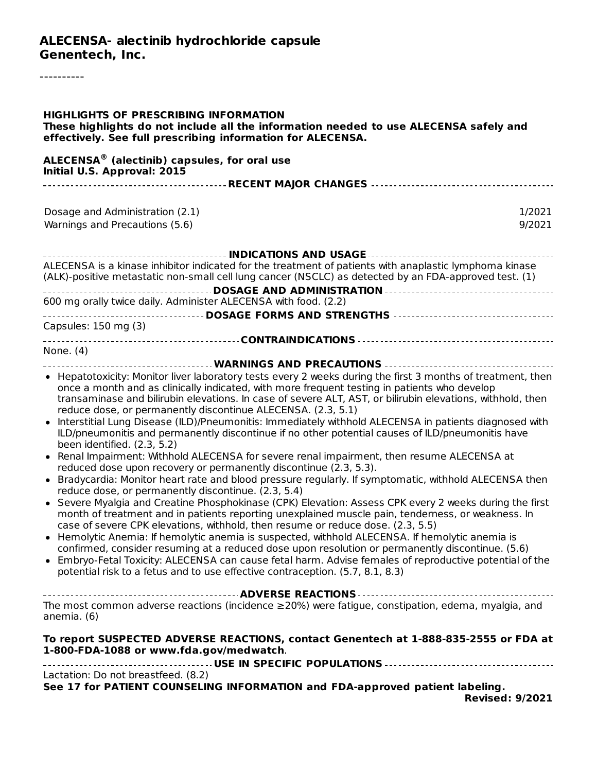#### **ALECENSA- alectinib hydrochloride capsule Genentech, Inc.**

----------

| <b>HIGHLIGHTS OF PRESCRIBING INFORMATION</b><br>These highlights do not include all the information needed to use ALECENSA safely and<br>effectively. See full prescribing information for ALECENSA.                                                                                                                                                                                                                                                                                                                                                                                                                                                                                                                                                                                                                                                                                                                                                                                                                                                                                                                                                                                                                                                                                                                                                                                                                                                                                                                                                                                                                                                                             |
|----------------------------------------------------------------------------------------------------------------------------------------------------------------------------------------------------------------------------------------------------------------------------------------------------------------------------------------------------------------------------------------------------------------------------------------------------------------------------------------------------------------------------------------------------------------------------------------------------------------------------------------------------------------------------------------------------------------------------------------------------------------------------------------------------------------------------------------------------------------------------------------------------------------------------------------------------------------------------------------------------------------------------------------------------------------------------------------------------------------------------------------------------------------------------------------------------------------------------------------------------------------------------------------------------------------------------------------------------------------------------------------------------------------------------------------------------------------------------------------------------------------------------------------------------------------------------------------------------------------------------------------------------------------------------------|
| ALECENSA <sup>®</sup> (alectinib) capsules, for oral use<br>Initial U.S. Approval: 2015                                                                                                                                                                                                                                                                                                                                                                                                                                                                                                                                                                                                                                                                                                                                                                                                                                                                                                                                                                                                                                                                                                                                                                                                                                                                                                                                                                                                                                                                                                                                                                                          |
|                                                                                                                                                                                                                                                                                                                                                                                                                                                                                                                                                                                                                                                                                                                                                                                                                                                                                                                                                                                                                                                                                                                                                                                                                                                                                                                                                                                                                                                                                                                                                                                                                                                                                  |
| Dosage and Administration (2.1)<br>1/2021<br>Warnings and Precautions (5.6)<br>9/2021                                                                                                                                                                                                                                                                                                                                                                                                                                                                                                                                                                                                                                                                                                                                                                                                                                                                                                                                                                                                                                                                                                                                                                                                                                                                                                                                                                                                                                                                                                                                                                                            |
| ------------------------------------- INDICATIONS AND USAGE ---------------------------------                                                                                                                                                                                                                                                                                                                                                                                                                                                                                                                                                                                                                                                                                                                                                                                                                                                                                                                                                                                                                                                                                                                                                                                                                                                                                                                                                                                                                                                                                                                                                                                    |
| ALECENSA is a kinase inhibitor indicated for the treatment of patients with anaplastic lymphoma kinase<br>(ALK)-positive metastatic non-small cell lung cancer (NSCLC) as detected by an FDA-approved test. (1)                                                                                                                                                                                                                                                                                                                                                                                                                                                                                                                                                                                                                                                                                                                                                                                                                                                                                                                                                                                                                                                                                                                                                                                                                                                                                                                                                                                                                                                                  |
| 600 mg orally twice daily. Administer ALECENSA with food. (2.2)                                                                                                                                                                                                                                                                                                                                                                                                                                                                                                                                                                                                                                                                                                                                                                                                                                                                                                                                                                                                                                                                                                                                                                                                                                                                                                                                                                                                                                                                                                                                                                                                                  |
| Capsules: 150 mg (3)                                                                                                                                                                                                                                                                                                                                                                                                                                                                                                                                                                                                                                                                                                                                                                                                                                                                                                                                                                                                                                                                                                                                                                                                                                                                                                                                                                                                                                                                                                                                                                                                                                                             |
|                                                                                                                                                                                                                                                                                                                                                                                                                                                                                                                                                                                                                                                                                                                                                                                                                                                                                                                                                                                                                                                                                                                                                                                                                                                                                                                                                                                                                                                                                                                                                                                                                                                                                  |
| None. (4)<br>------------------------- WARNINGS AND PRECAUTIONS ------------------------------                                                                                                                                                                                                                                                                                                                                                                                                                                                                                                                                                                                                                                                                                                                                                                                                                                                                                                                                                                                                                                                                                                                                                                                                                                                                                                                                                                                                                                                                                                                                                                                   |
| • Hepatotoxicity: Monitor liver laboratory tests every 2 weeks during the first 3 months of treatment, then<br>once a month and as clinically indicated, with more frequent testing in patients who develop<br>transaminase and bilirubin elevations. In case of severe ALT, AST, or bilirubin elevations, withhold, then<br>reduce dose, or permanently discontinue ALECENSA. (2.3, 5.1)<br>• Interstitial Lung Disease (ILD)/Pneumonitis: Immediately withhold ALECENSA in patients diagnosed with<br>ILD/pneumonitis and permanently discontinue if no other potential causes of ILD/pneumonitis have<br>been identified. (2.3, 5.2)<br>• Renal Impairment: Withhold ALECENSA for severe renal impairment, then resume ALECENSA at<br>reduced dose upon recovery or permanently discontinue (2.3, 5.3).<br>• Bradycardia: Monitor heart rate and blood pressure regularly. If symptomatic, withhold ALECENSA then<br>reduce dose, or permanently discontinue. (2.3, 5.4)<br>• Severe Myalgia and Creatine Phosphokinase (CPK) Elevation: Assess CPK every 2 weeks during the first<br>month of treatment and in patients reporting unexplained muscle pain, tenderness, or weakness. In<br>case of severe CPK elevations, withhold, then resume or reduce dose. (2.3, 5.5)<br>• Hemolytic Anemia: If hemolytic anemia is suspected, withhold ALECENSA. If hemolytic anemia is<br>confirmed, consider resuming at a reduced dose upon resolution or permanently discontinue. (5.6)<br>• Embryo-Fetal Toxicity: ALECENSA can cause fetal harm. Advise females of reproductive potential of the<br>potential risk to a fetus and to use effective contraception. (5.7, 8.1, 8.3) |
| The most common adverse reactions (incidence $\geq$ 20%) were fatigue, constipation, edema, myalgia, and<br>anemia. (6)                                                                                                                                                                                                                                                                                                                                                                                                                                                                                                                                                                                                                                                                                                                                                                                                                                                                                                                                                                                                                                                                                                                                                                                                                                                                                                                                                                                                                                                                                                                                                          |
| To report SUSPECTED ADVERSE REACTIONS, contact Genentech at 1-888-835-2555 or FDA at<br>1-800-FDA-1088 or www.fda.gov/medwatch.                                                                                                                                                                                                                                                                                                                                                                                                                                                                                                                                                                                                                                                                                                                                                                                                                                                                                                                                                                                                                                                                                                                                                                                                                                                                                                                                                                                                                                                                                                                                                  |
| Lactation: Do not breastfeed. (8.2)<br>See 17 for PATIENT COUNSELING INFORMATION and FDA-approved patient labeling.<br><b>Revised: 9/2021</b>                                                                                                                                                                                                                                                                                                                                                                                                                                                                                                                                                                                                                                                                                                                                                                                                                                                                                                                                                                                                                                                                                                                                                                                                                                                                                                                                                                                                                                                                                                                                    |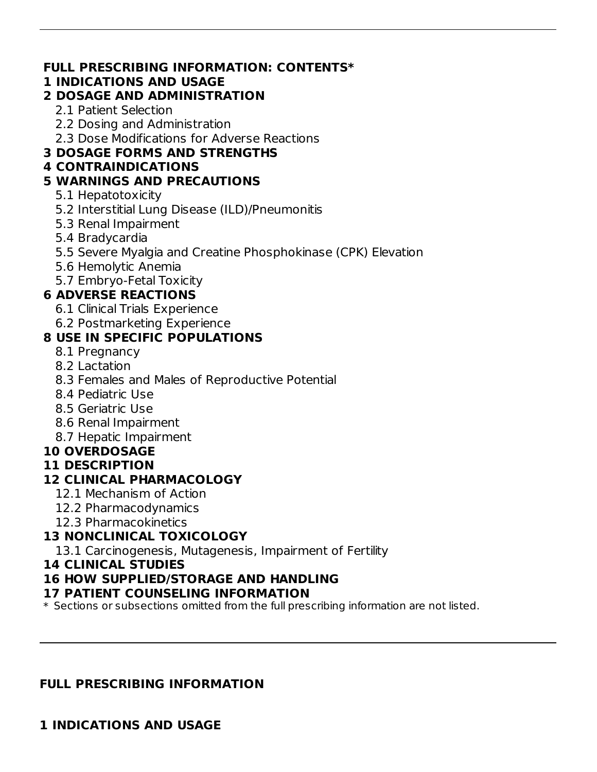#### **FULL PRESCRIBING INFORMATION: CONTENTS\***

#### **1 INDICATIONS AND USAGE**

## **2 DOSAGE AND ADMINISTRATION**

- 2.1 Patient Selection
- 2.2 Dosing and Administration
- 2.3 Dose Modifications for Adverse Reactions

## **3 DOSAGE FORMS AND STRENGTHS**

## **4 CONTRAINDICATIONS**

## **5 WARNINGS AND PRECAUTIONS**

- 5.1 Hepatotoxicity
- 5.2 Interstitial Lung Disease (ILD)/Pneumonitis
- 5.3 Renal Impairment
- 5.4 Bradycardia
- 5.5 Severe Myalgia and Creatine Phosphokinase (CPK) Elevation
- 5.6 Hemolytic Anemia
- 5.7 Embryo-Fetal Toxicity

## **6 ADVERSE REACTIONS**

- 6.1 Clinical Trials Experience
- 6.2 Postmarketing Experience

## **8 USE IN SPECIFIC POPULATIONS**

- 8.1 Pregnancy
- 8.2 Lactation
- 8.3 Females and Males of Reproductive Potential
- 8.4 Pediatric Use
- 8.5 Geriatric Use
- 8.6 Renal Impairment
- 8.7 Hepatic Impairment

## **10 OVERDOSAGE**

## **11 DESCRIPTION**

## **12 CLINICAL PHARMACOLOGY**

- 12.1 Mechanism of Action
- 12.2 Pharmacodynamics
- 12.3 Pharmacokinetics

## **13 NONCLINICAL TOXICOLOGY**

13.1 Carcinogenesis, Mutagenesis, Impairment of Fertility

#### **14 CLINICAL STUDIES**

## **16 HOW SUPPLIED/STORAGE AND HANDLING**

#### **17 PATIENT COUNSELING INFORMATION**

\* Sections or subsections omitted from the full prescribing information are not listed.

## **FULL PRESCRIBING INFORMATION**

**1 INDICATIONS AND USAGE**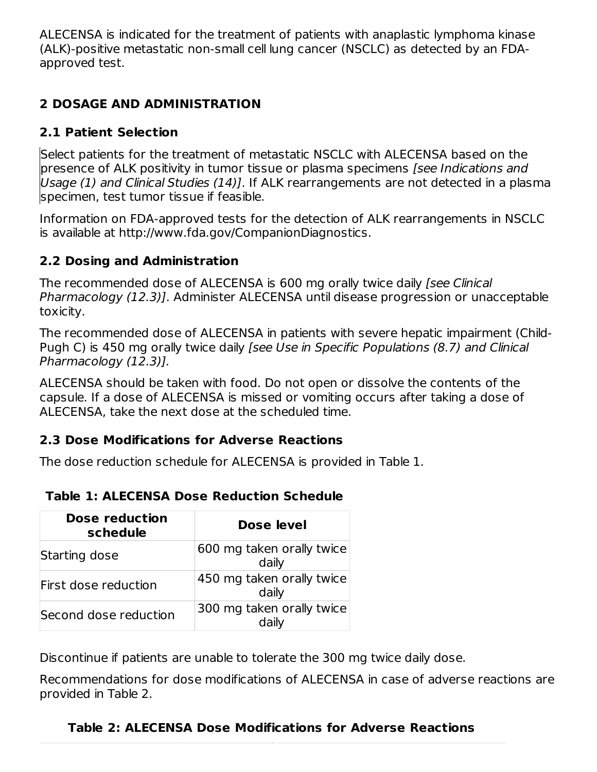ALECENSA is indicated for the treatment of patients with anaplastic lymphoma kinase (ALK)-positive metastatic non-small cell lung cancer (NSCLC) as detected by an FDAapproved test.

## **2 DOSAGE AND ADMINISTRATION**

## **2.1 Patient Selection**

Select patients for the treatment of metastatic NSCLC with ALECENSA based on the presence of ALK positivity in tumor tissue or plasma specimens [see Indications and Usage (1) and Clinical Studies (14)]. If ALK rearrangements are not detected in a plasma specimen, test tumor tissue if feasible.

Information on FDA-approved tests for the detection of ALK rearrangements in NSCLC is available at http://www.fda.gov/CompanionDiagnostics.

## **2.2 Dosing and Administration**

The recommended dose of ALECENSA is 600 mg orally twice daily [see Clinical Pharmacology (12.3)]. Administer ALECENSA until disease progression or unacceptable toxicity.

The recommended dose of ALECENSA in patients with severe hepatic impairment (Child-Pugh C) is 450 mg orally twice daily [see Use in Specific Populations (8.7) and Clinical Pharmacology (12.3)].

ALECENSA should be taken with food. Do not open or dissolve the contents of the capsule. If a dose of ALECENSA is missed or vomiting occurs after taking a dose of ALECENSA, take the next dose at the scheduled time.

## **2.3 Dose Modifications for Adverse Reactions**

The dose reduction schedule for ALECENSA is provided in Table 1.

| <b>Table 1: ALECENSA Dose Reduction Schedule</b> |  |
|--------------------------------------------------|--|
|--------------------------------------------------|--|

| Dose reduction<br>schedule | <b>Dose level</b>                  |  |  |
|----------------------------|------------------------------------|--|--|
| Starting dose              | 600 mg taken orally twice<br>daily |  |  |
| First dose reduction       | 450 mg taken orally twice<br>daily |  |  |
| Second dose reduction      | 300 mg taken orally twice<br>daily |  |  |

**\***

Discontinue if patients are unable to tolerate the 300 mg twice daily dose.

Recommendations for dose modifications of ALECENSA in case of adverse reactions are provided in Table 2.

## **Table 2: ALECENSA Dose Modifications for Adverse Reactions**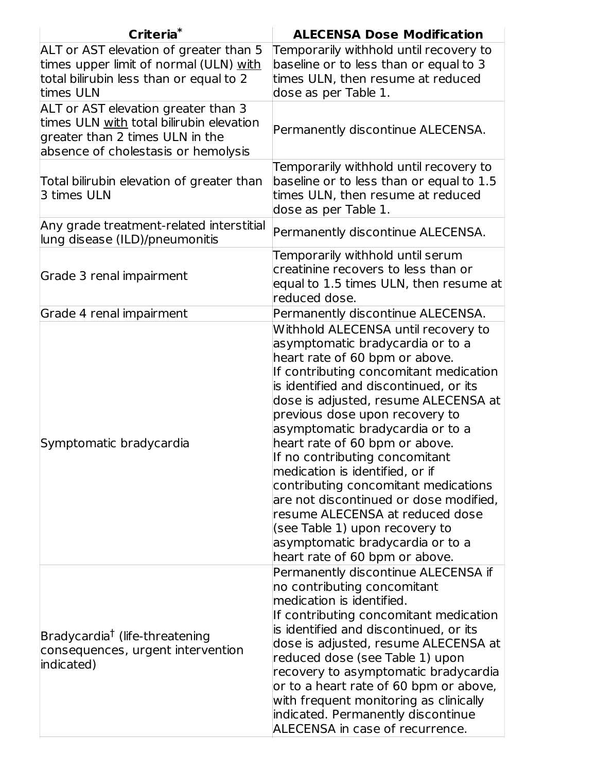| Criteria <sup>*</sup>                                                                                                                                     | <b>ALECENSA Dose Modification</b>                                                                                                                                                                                                                                                                                                                                                                                                                                                                                                                                                                                                               |
|-----------------------------------------------------------------------------------------------------------------------------------------------------------|-------------------------------------------------------------------------------------------------------------------------------------------------------------------------------------------------------------------------------------------------------------------------------------------------------------------------------------------------------------------------------------------------------------------------------------------------------------------------------------------------------------------------------------------------------------------------------------------------------------------------------------------------|
| ALT or AST elevation of greater than 5<br>times upper limit of normal (ULN) with<br>total bilirubin less than or equal to 2<br>times ULN                  | Temporarily withhold until recovery to<br>baseline or to less than or equal to 3<br>times ULN, then resume at reduced<br>dose as per Table 1.                                                                                                                                                                                                                                                                                                                                                                                                                                                                                                   |
| ALT or AST elevation greater than 3<br>times ULN with total bilirubin elevation<br>greater than 2 times ULN in the<br>absence of cholestasis or hemolysis | Permanently discontinue ALECENSA.                                                                                                                                                                                                                                                                                                                                                                                                                                                                                                                                                                                                               |
| Total bilirubin elevation of greater than<br>3 times ULN                                                                                                  | Temporarily withhold until recovery to<br>baseline or to less than or equal to 1.5<br>times ULN, then resume at reduced<br>dose as per Table 1.                                                                                                                                                                                                                                                                                                                                                                                                                                                                                                 |
| Any grade treatment-related interstitial<br>lung disease (ILD)/pneumonitis                                                                                | Permanently discontinue ALECENSA.                                                                                                                                                                                                                                                                                                                                                                                                                                                                                                                                                                                                               |
| Grade 3 renal impairment                                                                                                                                  | Temporarily withhold until serum<br>creatinine recovers to less than or<br>equal to 1.5 times ULN, then resume at<br>reduced dose.                                                                                                                                                                                                                                                                                                                                                                                                                                                                                                              |
| Grade 4 renal impairment                                                                                                                                  | Permanently discontinue ALECENSA.                                                                                                                                                                                                                                                                                                                                                                                                                                                                                                                                                                                                               |
| Symptomatic bradycardia                                                                                                                                   | Withhold ALECENSA until recovery to<br>asymptomatic bradycardia or to a<br>heart rate of 60 bpm or above.<br>If contributing concomitant medication<br>is identified and discontinued, or its<br>dose is adjusted, resume ALECENSA at<br>previous dose upon recovery to<br>asymptomatic bradycardia or to a<br>heart rate of 60 bpm or above.<br>If no contributing concomitant<br>medication is identified, or if<br>contributing concomitant medications<br>are not discontinued or dose modified,<br>resume ALECENSA at reduced dose<br>(see Table 1) upon recovery to<br>asymptomatic bradycardia or to a<br>heart rate of 60 bpm or above. |
| Bradycardia <sup>†</sup> (life-threatening<br>consequences, urgent intervention<br>indicated)                                                             | Permanently discontinue ALECENSA if<br>no contributing concomitant<br>medication is identified.<br>If contributing concomitant medication<br>is identified and discontinued, or its<br>dose is adjusted, resume ALECENSA at<br>reduced dose (see Table 1) upon<br>recovery to asymptomatic bradycardia<br>or to a heart rate of 60 bpm or above,<br>with frequent monitoring as clinically<br>indicated. Permanently discontinue<br>ALECENSA in case of recurrence.                                                                                                                                                                             |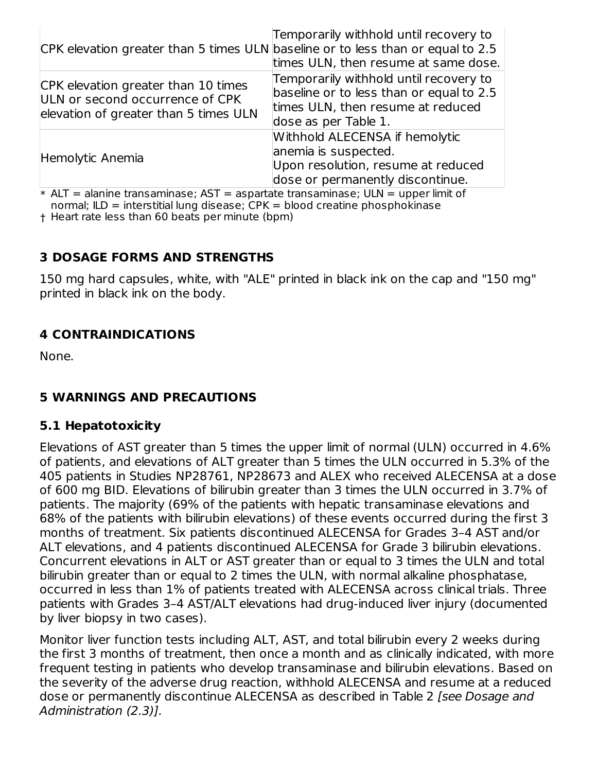| CPK elevation greater than 5 times ULN baseline or to less than or equal to 2.5                                 | Temporarily withhold until recovery to<br>times ULN, then resume at same dose.                                                                  |
|-----------------------------------------------------------------------------------------------------------------|-------------------------------------------------------------------------------------------------------------------------------------------------|
| CPK elevation greater than 10 times<br>ULN or second occurrence of CPK<br>elevation of greater than 5 times ULN | Temporarily withhold until recovery to<br>baseline or to less than or equal to 2.5<br>times ULN, then resume at reduced<br>dose as per Table 1. |
| Hemolytic Anemia                                                                                                | Withhold ALECENSA if hemolytic<br>anemia is suspected.<br>Upon resolution, resume at reduced<br>dose or permanently discontinue.                |

 $\,^*$  ALT = alanine transaminase; AST = aspartate transaminase; ULN = upper limit of normal:  $ILD =$  interstitial lung disease;  $CPK =$  blood creatine phosphokinase

† Heart rate less than 60 beats per minute (bpm)

#### **3 DOSAGE FORMS AND STRENGTHS**

150 mg hard capsules, white, with "ALE" printed in black ink on the cap and "150 mg" printed in black ink on the body.

## **4 CONTRAINDICATIONS**

None.

## **5 WARNINGS AND PRECAUTIONS**

#### **5.1 Hepatotoxicity**

Elevations of AST greater than 5 times the upper limit of normal (ULN) occurred in 4.6% of patients, and elevations of ALT greater than 5 times the ULN occurred in 5.3% of the 405 patients in Studies NP28761, NP28673 and ALEX who received ALECENSA at a dose of 600 mg BID. Elevations of bilirubin greater than 3 times the ULN occurred in 3.7% of patients. The majority (69% of the patients with hepatic transaminase elevations and 68% of the patients with bilirubin elevations) of these events occurred during the first 3 months of treatment. Six patients discontinued ALECENSA for Grades 3–4 AST and/or ALT elevations, and 4 patients discontinued ALECENSA for Grade 3 bilirubin elevations. Concurrent elevations in ALT or AST greater than or equal to 3 times the ULN and total bilirubin greater than or equal to 2 times the ULN, with normal alkaline phosphatase, occurred in less than 1% of patients treated with ALECENSA across clinical trials. Three patients with Grades 3–4 AST/ALT elevations had drug-induced liver injury (documented by liver biopsy in two cases).

Monitor liver function tests including ALT, AST, and total bilirubin every 2 weeks during the first 3 months of treatment, then once a month and as clinically indicated, with more frequent testing in patients who develop transaminase and bilirubin elevations. Based on the severity of the adverse drug reaction, withhold ALECENSA and resume at a reduced dose or permanently discontinue ALECENSA as described in Table 2 [see Dosage and Administration (2.3)].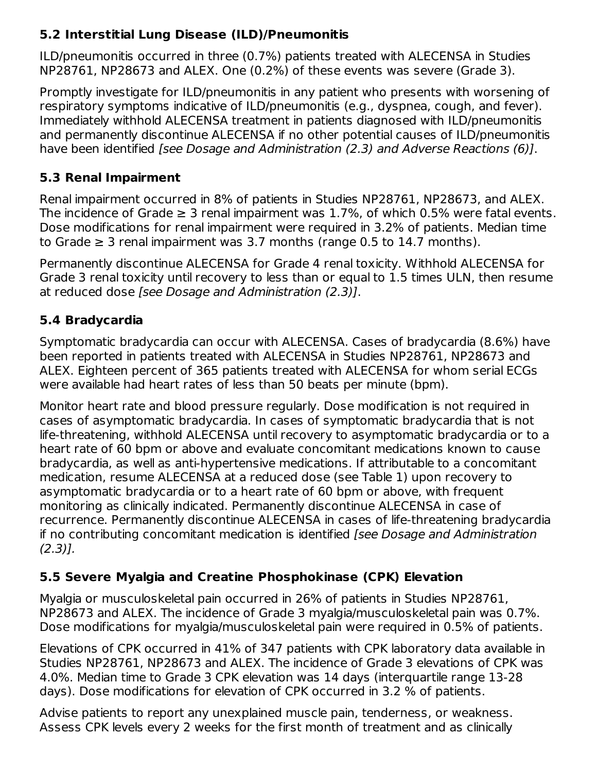## **5.2 Interstitial Lung Disease (ILD)/Pneumonitis**

ILD/pneumonitis occurred in three (0.7%) patients treated with ALECENSA in Studies NP28761, NP28673 and ALEX. One (0.2%) of these events was severe (Grade 3).

Promptly investigate for ILD/pneumonitis in any patient who presents with worsening of respiratory symptoms indicative of ILD/pneumonitis (e.g., dyspnea, cough, and fever). Immediately withhold ALECENSA treatment in patients diagnosed with ILD/pneumonitis and permanently discontinue ALECENSA if no other potential causes of ILD/pneumonitis have been identified [see Dosage and Administration (2.3) and Adverse Reactions (6)].

## **5.3 Renal Impairment**

Renal impairment occurred in 8% of patients in Studies NP28761, NP28673, and ALEX. The incidence of Grade  $\geq 3$  renal impairment was 1.7%, of which 0.5% were fatal events. Dose modifications for renal impairment were required in 3.2% of patients. Median time to Grade  $\geq$  3 renal impairment was 3.7 months (range 0.5 to 14.7 months).

Permanently discontinue ALECENSA for Grade 4 renal toxicity. Withhold ALECENSA for Grade 3 renal toxicity until recovery to less than or equal to 1.5 times ULN, then resume at reduced dose [see Dosage and Administration (2.3)].

## **5.4 Bradycardia**

Symptomatic bradycardia can occur with ALECENSA. Cases of bradycardia (8.6%) have been reported in patients treated with ALECENSA in Studies NP28761, NP28673 and ALEX. Eighteen percent of 365 patients treated with ALECENSA for whom serial ECGs were available had heart rates of less than 50 beats per minute (bpm).

Monitor heart rate and blood pressure regularly. Dose modification is not required in cases of asymptomatic bradycardia. In cases of symptomatic bradycardia that is not life-threatening, withhold ALECENSA until recovery to asymptomatic bradycardia or to a heart rate of 60 bpm or above and evaluate concomitant medications known to cause bradycardia, as well as anti-hypertensive medications. If attributable to a concomitant medication, resume ALECENSA at a reduced dose (see Table 1) upon recovery to asymptomatic bradycardia or to a heart rate of 60 bpm or above, with frequent monitoring as clinically indicated. Permanently discontinue ALECENSA in case of recurrence. Permanently discontinue ALECENSA in cases of life-threatening bradycardia if no contributing concomitant medication is identified [see Dosage and Administration  $(2.3)$ ].

## **5.5 Severe Myalgia and Creatine Phosphokinase (CPK) Elevation**

Myalgia or musculoskeletal pain occurred in 26% of patients in Studies NP28761, NP28673 and ALEX. The incidence of Grade 3 myalgia/musculoskeletal pain was 0.7%. Dose modifications for myalgia/musculoskeletal pain were required in 0.5% of patients.

Elevations of CPK occurred in 41% of 347 patients with CPK laboratory data available in Studies NP28761, NP28673 and ALEX. The incidence of Grade 3 elevations of CPK was 4.0%. Median time to Grade 3 CPK elevation was 14 days (interquartile range 13-28 days). Dose modifications for elevation of CPK occurred in 3.2 % of patients.

Advise patients to report any unexplained muscle pain, tenderness, or weakness. Assess CPK levels every 2 weeks for the first month of treatment and as clinically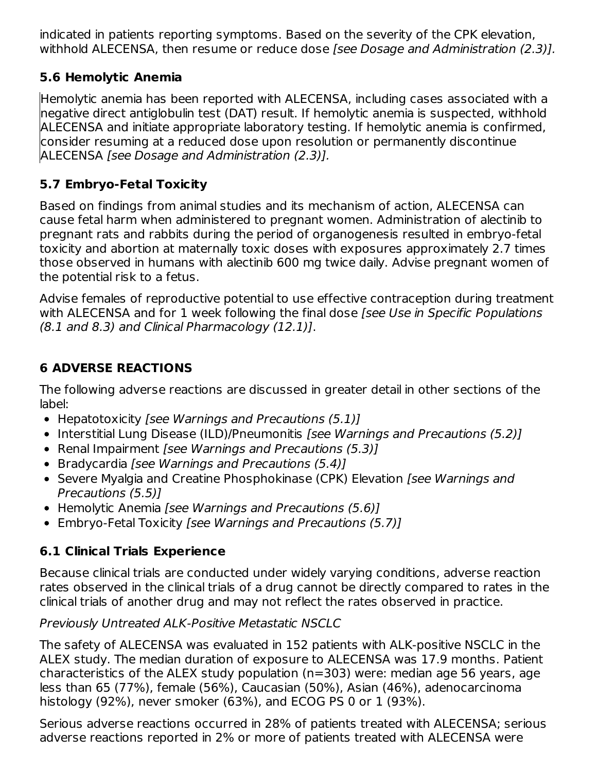indicated in patients reporting symptoms. Based on the severity of the CPK elevation, withhold ALECENSA, then resume or reduce dose [see Dosage and Administration (2.3)].

## **5.6 Hemolytic Anemia**

Hemolytic anemia has been reported with ALECENSA, including cases associated with a negative direct antiglobulin test (DAT) result. If hemolytic anemia is suspected, withhold ALECENSA and initiate appropriate laboratory testing. If hemolytic anemia is confirmed, consider resuming at a reduced dose upon resolution or permanently discontinue ALECENSA [see Dosage and Administration (2.3)].

## **5.7 Embryo-Fetal Toxicity**

Based on findings from animal studies and its mechanism of action, ALECENSA can cause fetal harm when administered to pregnant women. Administration of alectinib to pregnant rats and rabbits during the period of organogenesis resulted in embryo-fetal toxicity and abortion at maternally toxic doses with exposures approximately 2.7 times those observed in humans with alectinib 600 mg twice daily. Advise pregnant women of the potential risk to a fetus.

Advise females of reproductive potential to use effective contraception during treatment with ALECENSA and for 1 week following the final dose *[see Use in Specific Populations* (8.1 and 8.3) and Clinical Pharmacology (12.1)].

## **6 ADVERSE REACTIONS**

The following adverse reactions are discussed in greater detail in other sections of the label:

- Hepatotoxicity [see Warnings and Precautions (5.1)]
- Interstitial Lung Disease (ILD)/Pneumonitis [see Warnings and Precautions (5.2)]
- Renal Impairment [see Warnings and Precautions (5.3)]
- Bradycardia [see Warnings and Precautions (5.4)]
- Severe Myalgia and Creatine Phosphokinase (CPK) Elevation [see Warnings and Precautions (5.5)]
- Hemolytic Anemia [see Warnings and Precautions (5.6)]
- Embryo-Fetal Toxicity [see Warnings and Precautions (5.7)]

## **6.1 Clinical Trials Experience**

Because clinical trials are conducted under widely varying conditions, adverse reaction rates observed in the clinical trials of a drug cannot be directly compared to rates in the clinical trials of another drug and may not reflect the rates observed in practice.

Previously Untreated ALK-Positive Metastatic NSCLC

The safety of ALECENSA was evaluated in 152 patients with ALK-positive NSCLC in the ALEX study. The median duration of exposure to ALECENSA was 17.9 months. Patient characteristics of the ALEX study population (n=303) were: median age 56 years, age less than 65 (77%), female (56%), Caucasian (50%), Asian (46%), adenocarcinoma histology (92%), never smoker (63%), and ECOG PS 0 or 1 (93%).

Serious adverse reactions occurred in 28% of patients treated with ALECENSA; serious adverse reactions reported in 2% or more of patients treated with ALECENSA were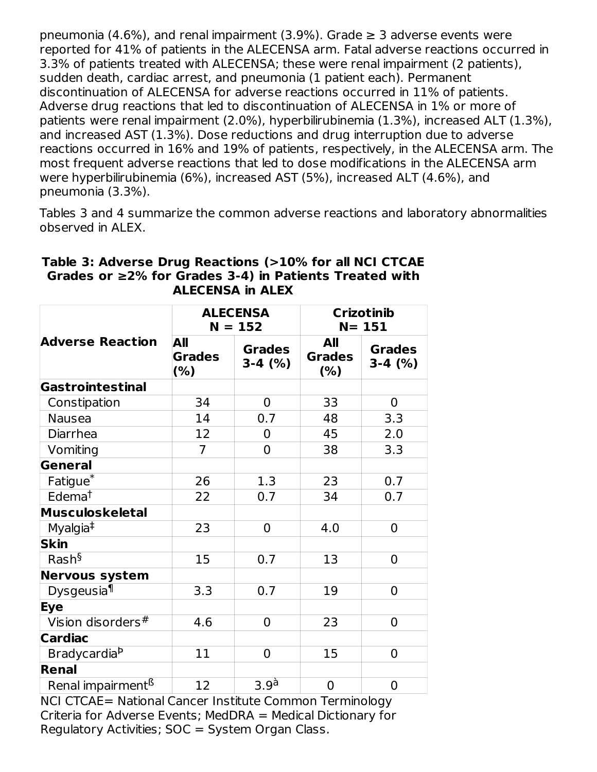pneumonia (4.6%), and renal impairment (3.9%). Grade  $\geq$  3 adverse events were reported for 41% of patients in the ALECENSA arm. Fatal adverse reactions occurred in 3.3% of patients treated with ALECENSA; these were renal impairment (2 patients), sudden death, cardiac arrest, and pneumonia (1 patient each). Permanent discontinuation of ALECENSA for adverse reactions occurred in 11% of patients. Adverse drug reactions that led to discontinuation of ALECENSA in 1% or more of patients were renal impairment (2.0%), hyperbilirubinemia (1.3%), increased ALT (1.3%), and increased AST (1.3%). Dose reductions and drug interruption due to adverse reactions occurred in 16% and 19% of patients, respectively, in the ALECENSA arm. The most frequent adverse reactions that led to dose modifications in the ALECENSA arm were hyperbilirubinemia (6%), increased AST (5%), increased ALT (4.6%), and pneumonia (3.3%).

Tables 3 and 4 summarize the common adverse reactions and laboratory abnormalities observed in ALEX.

|                               | <b>ALECENSA</b><br>$N = 152$ |                           | <b>Crizotinib</b><br>$N = 151$ |                            |
|-------------------------------|------------------------------|---------------------------|--------------------------------|----------------------------|
| <b>Adverse Reaction</b>       | All<br><b>Grades</b><br>(%)  | <b>Grades</b><br>$3-4(%)$ | All<br><b>Grades</b><br>(% )   | <b>Grades</b><br>$3-4$ (%) |
| Gastrointestinal              |                              |                           |                                |                            |
| Constipation                  | 34                           | $\overline{0}$            | 33                             | 0                          |
| <b>Nausea</b>                 | 14                           | 0.7                       | 48                             | 3.3                        |
| Diarrhea                      | 12                           | 0                         | 45                             | 2.0                        |
| Vomiting                      | $\overline{7}$               | 0                         | 38                             | 3.3                        |
| General                       |                              |                           |                                |                            |
| Fatigue <sup>*</sup>          | 26                           | 1.3                       | 23                             | 0.7                        |
| Edema <sup>t</sup>            | 22                           | 0.7                       | 34                             | 0.7                        |
| <b>Musculoskeletal</b>        |                              |                           |                                |                            |
| Myalgia <sup>‡</sup>          | 23                           | $\overline{0}$            | 4.0                            | 0                          |
| <b>Skin</b>                   |                              |                           |                                |                            |
| Rash <sup>§</sup>             | 15                           | 0.7                       | 13                             | 0                          |
| <b>Nervous system</b>         |                              |                           |                                |                            |
| Dysgeusia <sup>1</sup>        | 3.3                          | 0.7                       | 19                             | 0                          |
| <b>Eye</b>                    |                              |                           |                                |                            |
| Vision disorders#             | 4.6                          | 0                         | 23                             | 0                          |
| <b>Cardiac</b>                |                              |                           |                                |                            |
| Bradycardia <sup>b</sup>      | 11                           | $\overline{0}$            | 15                             | 0                          |
| Renal                         |                              |                           |                                |                            |
| Renal impairment <sup>ß</sup> | 12                           | 3.9 <sup>à</sup>          | 0                              | 0                          |

#### **Table 3: Adverse Drug Reactions (>10% for all NCI CTCAE Grades or ≥2% for Grades 3-4) in Patients Treated with ALECENSA in ALEX**

NCI CTCAE= National Cancer Institute Common Terminology Criteria for Adverse Events; MedDRA = Medical Dictionary for Regulatory Activities; SOC = System Organ Class.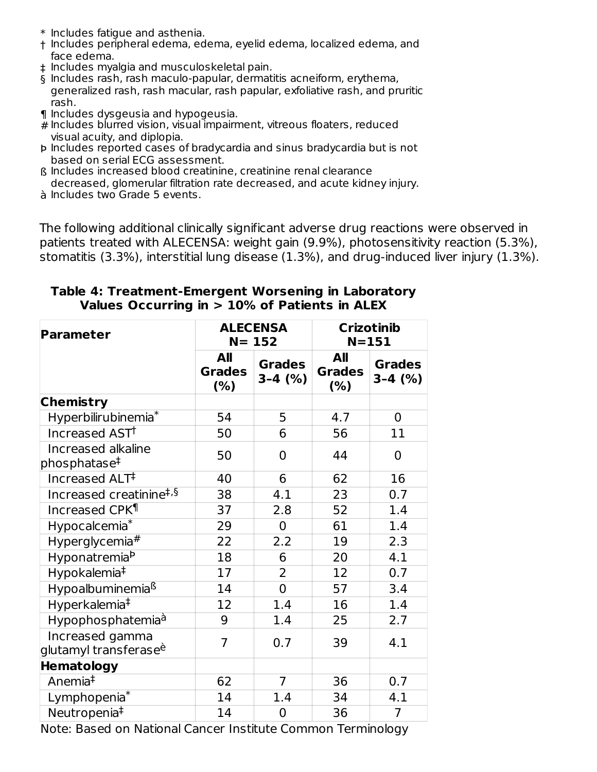- \* Includes fatigue and asthenia.
- † Includes peripheral edema, edema, eyelid edema, localized edema, and face edema.
- ‡ Includes myalgia and musculoskeletal pain.
- § Includes rash, rash maculo-papular, dermatitis acneiform, erythema, generalized rash, rash macular, rash papular, exfoliative rash, and pruritic rash.
- ¶ Includes dysgeusia and hypogeusia.
- # Includes blurred vision, visual impairment, vitreous floaters, reduced visual acuity, and diplopia.
- Þ Includes reported cases of bradycardia and sinus bradycardia but is not based on serial ECG assessment.
- ß Includes increased blood creatinine, creatinine renal clearance decreased, glomerular filtration rate decreased, and acute kidney injury.
- à Includes two Grade 5 events.

The following additional clinically significant adverse drug reactions were observed in patients treated with ALECENSA: weight gain (9.9%), photosensitivity reaction (5.3%), stomatitis (3.3%), interstitial lung disease (1.3%), and drug-induced liver injury (1.3%).

| Parameter                                            | <b>ALECENSA</b><br>$N = 152$ |                            | <b>Crizotinib</b><br>$N = 151$ |                            |
|------------------------------------------------------|------------------------------|----------------------------|--------------------------------|----------------------------|
|                                                      | All<br><b>Grades</b><br>(%)  | <b>Grades</b><br>$3-4$ (%) | All<br><b>Grades</b><br>(%)    | <b>Grades</b><br>$3-4$ (%) |
| <b>Chemistry</b>                                     |                              |                            |                                |                            |
| Hyperbilirubinemia <sup>*</sup>                      | 54                           | 5                          | 4.7                            | $\mathbf 0$                |
| Increased AST <sup>+</sup>                           | 50                           | 6                          | 56                             | 11                         |
| Increased alkaline<br>phosphatase <sup>‡</sup>       | 50                           | $\overline{0}$             | 44                             | $\overline{0}$             |
| Increased ALT <sup>‡</sup>                           | 40                           | 6                          | 62                             | 16                         |
| Increased creatinine <sup>#,§</sup>                  | 38                           | 4.1                        | 23                             | 0.7                        |
| Increased CPK <sup>¶</sup>                           | 37                           | 2.8                        | 52                             | 1.4                        |
| Hypocalcemia <sup>*</sup>                            | 29                           | $\mathbf 0$                | 61                             | 1.4                        |
| Hyperglycemia#                                       | 22                           | 2.2                        | 19                             | 2.3                        |
| HyponatremiaP                                        | 18                           | 6                          | 20                             | 4.1                        |
| Hypokalemia <sup>‡</sup>                             | 17                           | $\overline{2}$             | 12                             | 0.7                        |
| Hypoalbuminemia <sup>ß</sup>                         | 14                           | $\overline{0}$             | 57                             | 3.4                        |
| Hyperkalemia <sup>#</sup>                            | 12                           | 1.4                        | 16                             | 1.4                        |
| Hypophosphatemia <sup>à</sup>                        | 9                            | 1.4                        | 25                             | 2.7                        |
| Increased gamma<br>glutamyl transferase <sup>è</sup> | $\overline{7}$               | 0.7                        | 39                             | 4.1                        |
| <b>Hematology</b>                                    |                              |                            |                                |                            |
| Anemia <sup>‡</sup>                                  | 62                           | $\overline{7}$             | 36                             | 0.7                        |
| Lymphopenia*                                         | 14                           | 1.4                        | 34                             | 4.1                        |
| Neutropenia <sup>#</sup>                             | 14                           | $\pmb{0}$                  | 36                             | $\overline{7}$             |

#### **Table 4: Treatment-Emergent Worsening in Laboratory Values Occurring in > 10% of Patients in ALEX**

Note: Based on National Cancer Institute Common Terminology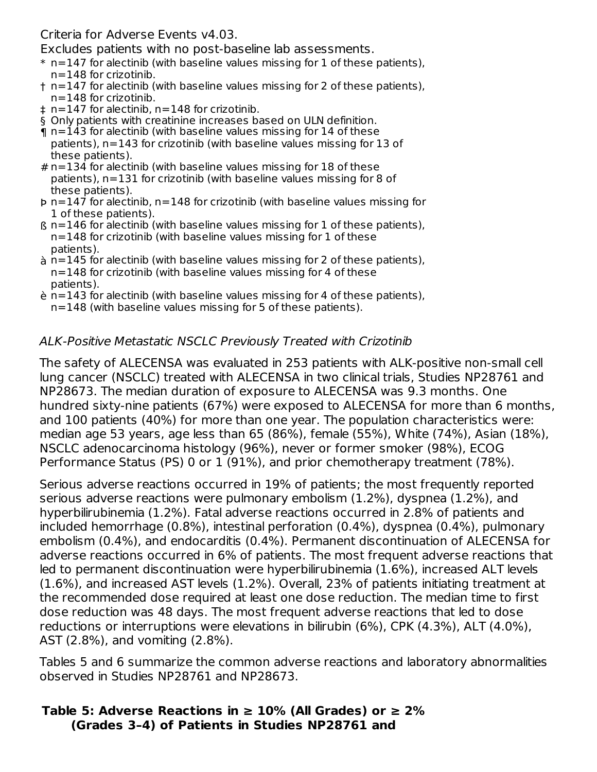Criteria for Adverse Events v4.03.

Excludes patients with no post-baseline lab assessments.

- $\,^*$  n=147 for alectinib (with baseline values missing for 1 of these patients), n=148 for crizotinib.
- † n=147 for alectinib (with baseline values missing for 2 of these patients), n=148 for crizotinib.
- ‡ n=147 for alectinib, n=148 for crizotinib.
- § Only patients with creatinine increases based on ULN definition.
- ¶ n=143 for alectinib (with baseline values missing for 14 of these patients), n=143 for crizotinib (with baseline values missing for 13 of these patients).
- # n=134 for alectinib (with baseline values missing for 18 of these patients), n=131 for crizotinib (with baseline values missing for 8 of these patients).
- Þ n=147 for alectinib, n=148 for crizotinib (with baseline values missing for 1 of these patients).
- ß n=146 for alectinib (with baseline values missing for 1 of these patients), n=148 for crizotinib (with baseline values missing for 1 of these patients).
- à n=145 for alectinib (with baseline values missing for 2 of these patients), n=148 for crizotinib (with baseline values missing for 4 of these patients).
- è n=143 for alectinib (with baseline values missing for 4 of these patients), n=148 (with baseline values missing for 5 of these patients).

## ALK-Positive Metastatic NSCLC Previously Treated with Crizotinib

The safety of ALECENSA was evaluated in 253 patients with ALK-positive non-small cell lung cancer (NSCLC) treated with ALECENSA in two clinical trials, Studies NP28761 and NP28673. The median duration of exposure to ALECENSA was 9.3 months. One hundred sixty-nine patients (67%) were exposed to ALECENSA for more than 6 months, and 100 patients (40%) for more than one year. The population characteristics were: median age 53 years, age less than 65 (86%), female (55%), White (74%), Asian (18%), NSCLC adenocarcinoma histology (96%), never or former smoker (98%), ECOG Performance Status (PS) 0 or 1 (91%), and prior chemotherapy treatment (78%).

Serious adverse reactions occurred in 19% of patients; the most frequently reported serious adverse reactions were pulmonary embolism (1.2%), dyspnea (1.2%), and hyperbilirubinemia (1.2%). Fatal adverse reactions occurred in 2.8% of patients and included hemorrhage (0.8%), intestinal perforation (0.4%), dyspnea (0.4%), pulmonary embolism (0.4%), and endocarditis (0.4%). Permanent discontinuation of ALECENSA for adverse reactions occurred in 6% of patients. The most frequent adverse reactions that led to permanent discontinuation were hyperbilirubinemia (1.6%), increased ALT levels (1.6%), and increased AST levels (1.2%). Overall, 23% of patients initiating treatment at the recommended dose required at least one dose reduction. The median time to first dose reduction was 48 days. The most frequent adverse reactions that led to dose reductions or interruptions were elevations in bilirubin (6%), CPK (4.3%), ALT (4.0%), AST (2.8%), and vomiting (2.8%).

Tables 5 and 6 summarize the common adverse reactions and laboratory abnormalities observed in Studies NP28761 and NP28673.

#### **Table 5: Adverse Reactions in ≥ 10% (All Grades) or ≥ 2% (Grades 3–4) of Patients in Studies NP28761 and**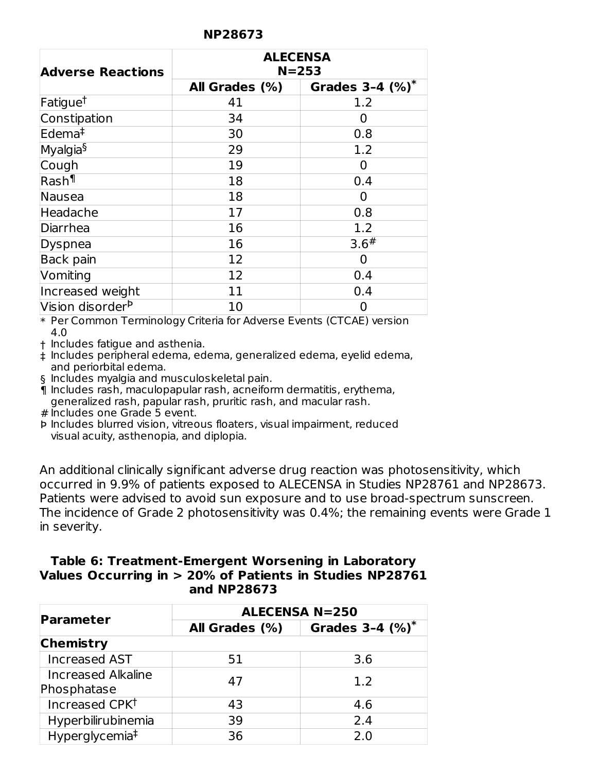| <b>NP28673</b> |  |
|----------------|--|
|----------------|--|

| <b>Adverse Reactions</b>     |                | <b>ALECENSA</b><br>$N = 253$ |  |
|------------------------------|----------------|------------------------------|--|
|                              | All Grades (%) | Grades $3-4$ (%)*            |  |
| Fatigue <sup>t</sup>         | 41             | 1.2                          |  |
| Constipation                 | 34             | O                            |  |
| Edema <sup>‡</sup>           | 30             | 0.8                          |  |
| Myalgia§                     | 29             | 1.2                          |  |
| Cough                        | 19             | O                            |  |
| Rash¶                        | 18             | 0.4                          |  |
| Nausea                       | 18             | O                            |  |
| Headache                     | 17             | 0.8                          |  |
| Diarrhea                     | 16             | 1.2                          |  |
| Dyspnea                      | 16             | 3.6#                         |  |
| Back pain                    | 12             | O                            |  |
| Vomiting                     | 12             | 0.4                          |  |
| Increased weight             | 11             | 0.4                          |  |
| Vision disorder <sup>b</sup> | 10             |                              |  |

\* Per Common Terminology Criteria for Adverse Events (CTCAE) version 4.0

† Includes fatigue and asthenia.

‡ Includes peripheral edema, edema, generalized edema, eyelid edema, and periorbital edema.

§ Includes myalgia and musculoskeletal pain.

¶ Includes rash, maculopapular rash, acneiform dermatitis, erythema, generalized rash, papular rash, pruritic rash, and macular rash.

# Includes one Grade 5 event.

Þ Includes blurred vision, vitreous floaters, visual impairment, reduced visual acuity, asthenopia, and diplopia.

An additional clinically significant adverse drug reaction was photosensitivity, which occurred in 9.9% of patients exposed to ALECENSA in Studies NP28761 and NP28673. Patients were advised to avoid sun exposure and to use broad-spectrum sunscreen. The incidence of Grade 2 photosensitivity was 0.4%; the remaining events were Grade 1 in severity.

#### **Table 6: Treatment-Emergent Worsening in Laboratory Values Occurring in > 20% of Patients in Studies NP28761 and NP28673**

|                                          | <b>ALECENSA N=250</b> |                      |  |  |
|------------------------------------------|-----------------------|----------------------|--|--|
| Parameter                                | All Grades (%)        | Grades $3-4$ $(%)^*$ |  |  |
| <b>Chemistry</b>                         |                       |                      |  |  |
| <b>Increased AST</b>                     | 51                    | 3.6                  |  |  |
| <b>Increased Alkaline</b><br>Phosphatase | 47                    | 1.2                  |  |  |
| Increased CPKT                           | 43                    | 4.6                  |  |  |
| Hyperbilirubinemia                       | 39                    | 2.4                  |  |  |
| Hyperglycemia <sup>‡</sup>               | 36                    | 2.0                  |  |  |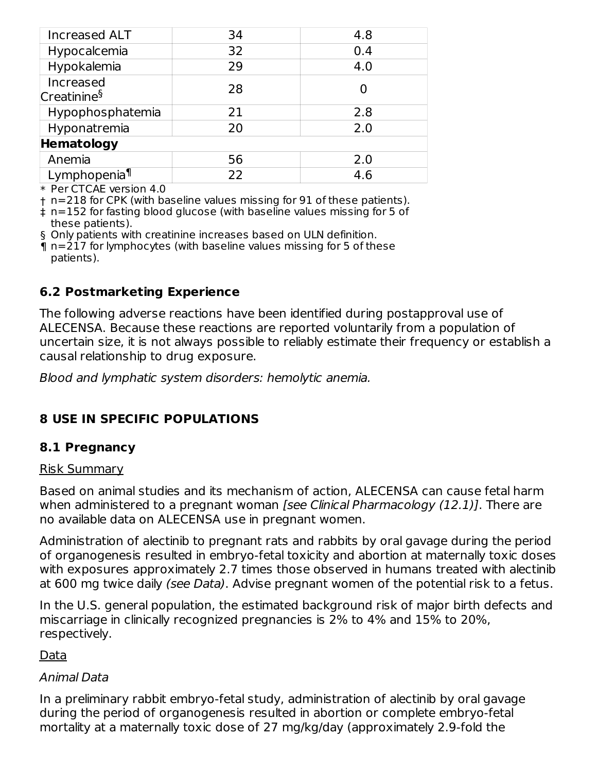| <b>Increased ALT</b>                                | 34 | 4.8 |
|-----------------------------------------------------|----|-----|
| Hypocalcemia                                        | 32 | 0.4 |
| Hypokalemia                                         | 29 | 4.0 |
| Increased<br>Creatinine <sup>§</sup>                | 28 |     |
| Hypophosphatemia                                    | 21 | 2.8 |
| Hyponatremia                                        | 20 | 2.0 |
| Hematology                                          |    |     |
| Anemia                                              | 56 | 2.0 |
| Lymphopenia <sup>¶</sup>                            | 22 | 4.6 |
| $\sim$ $\sim$ $\sim$ $\sim$ $\sim$ $\sim$<br>$\sim$ |    |     |

\* Per CTCAE version 4.0

† n=218 for CPK (with baseline values missing for 91 of these patients).

‡ n=152 for fasting blood glucose (with baseline values missing for 5 of these patients).

§ Only patients with creatinine increases based on ULN definition.

¶ n=217 for lymphocytes (with baseline values missing for 5 of these patients).

#### **6.2 Postmarketing Experience**

The following adverse reactions have been identified during postapproval use of ALECENSA. Because these reactions are reported voluntarily from a population of uncertain size, it is not always possible to reliably estimate their frequency or establish a causal relationship to drug exposure.

Blood and lymphatic system disorders: hemolytic anemia.

## **8 USE IN SPECIFIC POPULATIONS**

#### **8.1 Pregnancy**

#### Risk Summary

Based on animal studies and its mechanism of action, ALECENSA can cause fetal harm when administered to a pregnant woman [see Clinical Pharmacology (12.1)]. There are no available data on ALECENSA use in pregnant women.

Administration of alectinib to pregnant rats and rabbits by oral gavage during the period of organogenesis resulted in embryo-fetal toxicity and abortion at maternally toxic doses with exposures approximately 2.7 times those observed in humans treated with alectinib at 600 mg twice daily (see Data). Advise pregnant women of the potential risk to a fetus.

In the U.S. general population, the estimated background risk of major birth defects and miscarriage in clinically recognized pregnancies is 2% to 4% and 15% to 20%, respectively.

Data

#### Animal Data

In a preliminary rabbit embryo-fetal study, administration of alectinib by oral gavage during the period of organogenesis resulted in abortion or complete embryo-fetal mortality at a maternally toxic dose of 27 mg/kg/day (approximately 2.9-fold the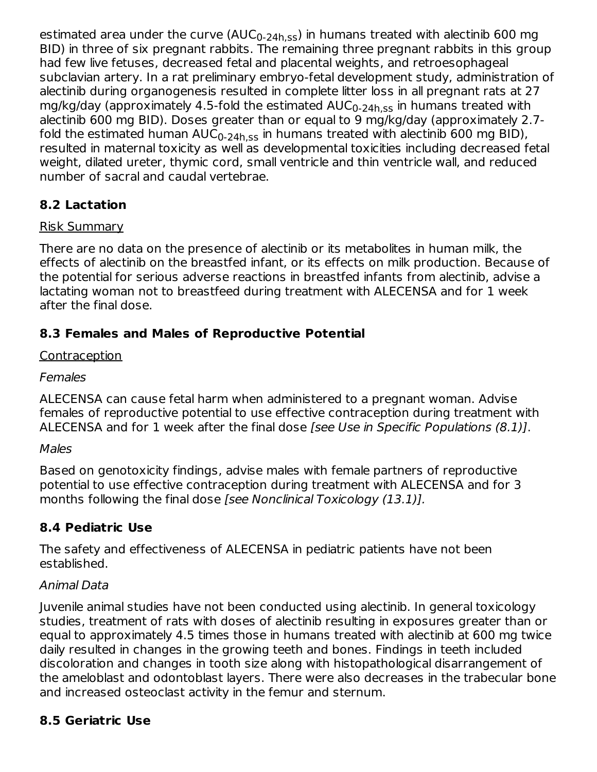estimated area under the curve (AUC $_{\rm 0\text{-}24h,ss}$ ) in humans treated with alectinib 600 mg BID) in three of six pregnant rabbits. The remaining three pregnant rabbits in this group had few live fetuses, decreased fetal and placental weights, and retroesophageal subclavian artery. In a rat preliminary embryo-fetal development study, administration of alectinib during organogenesis resulted in complete litter loss in all pregnant rats at 27 mg/kg/day (approximately 4.5-fold the estimated  $\mathsf{AUC}_{0\text{-}24\mathsf{h},\mathsf{ss}}$  in humans treated with alectinib 600 mg BID). Doses greater than or equal to 9 mg/kg/day (approximately 2.7 fold the estimated human AUC $_{\rm 0\text{-}24h,ss}$  in humans treated with alectinib 600 mg BID), resulted in maternal toxicity as well as developmental toxicities including decreased fetal weight, dilated ureter, thymic cord, small ventricle and thin ventricle wall, and reduced number of sacral and caudal vertebrae.

## **8.2 Lactation**

## Risk Summary

There are no data on the presence of alectinib or its metabolites in human milk, the effects of alectinib on the breastfed infant, or its effects on milk production. Because of the potential for serious adverse reactions in breastfed infants from alectinib, advise a lactating woman not to breastfeed during treatment with ALECENSA and for 1 week after the final dose.

## **8.3 Females and Males of Reproductive Potential**

## Contraception

## Females

ALECENSA can cause fetal harm when administered to a pregnant woman. Advise females of reproductive potential to use effective contraception during treatment with ALECENSA and for 1 week after the final dose *[see Use in Specific Populations (8.1)]*.

## **Males**

Based on genotoxicity findings, advise males with female partners of reproductive potential to use effective contraception during treatment with ALECENSA and for 3 months following the final dose [see Nonclinical Toxicology (13.1)].

## **8.4 Pediatric Use**

The safety and effectiveness of ALECENSA in pediatric patients have not been established.

## Animal Data

Juvenile animal studies have not been conducted using alectinib. In general toxicology studies, treatment of rats with doses of alectinib resulting in exposures greater than or equal to approximately 4.5 times those in humans treated with alectinib at 600 mg twice daily resulted in changes in the growing teeth and bones. Findings in teeth included discoloration and changes in tooth size along with histopathological disarrangement of the ameloblast and odontoblast layers. There were also decreases in the trabecular bone and increased osteoclast activity in the femur and sternum.

## **8.5 Geriatric Use**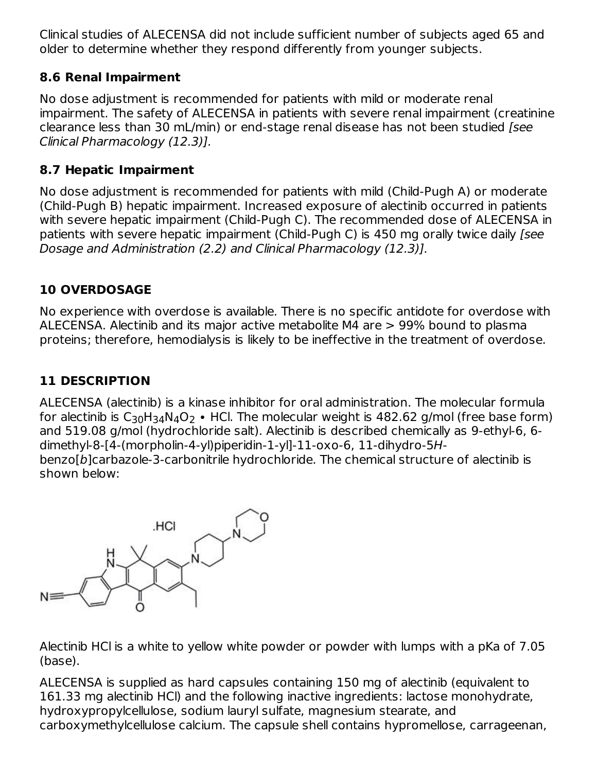Clinical studies of ALECENSA did not include sufficient number of subjects aged 65 and older to determine whether they respond differently from younger subjects.

## **8.6 Renal Impairment**

No dose adjustment is recommended for patients with mild or moderate renal impairment. The safety of ALECENSA in patients with severe renal impairment (creatinine clearance less than 30 mL/min) or end-stage renal disease has not been studied [see Clinical Pharmacology (12.3)].

## **8.7 Hepatic Impairment**

No dose adjustment is recommended for patients with mild (Child-Pugh A) or moderate (Child-Pugh B) hepatic impairment. Increased exposure of alectinib occurred in patients with severe hepatic impairment (Child-Pugh C). The recommended dose of ALECENSA in patients with severe hepatic impairment (Child-Pugh C) is 450 mg orally twice daily [see Dosage and Administration (2.2) and Clinical Pharmacology (12.3)].

## **10 OVERDOSAGE**

No experience with overdose is available. There is no specific antidote for overdose with ALECENSA. Alectinib and its major active metabolite M4 are > 99% bound to plasma proteins; therefore, hemodialysis is likely to be ineffective in the treatment of overdose.

## **11 DESCRIPTION**

ALECENSA (alectinib) is a kinase inhibitor for oral administration. The molecular formula for alectinib is  ${\sf C}_{30}{\sf H}_{34}{\sf N}_{4}{\sf O}_{2}\bullet$  HCl. The molecular weight is 482.62 g/mol (free base form) and 519.08 g/mol (hydrochloride salt). Alectinib is described chemically as 9-ethyl-6, 6 dimethyl-8-[4-(morpholin-4-yl)piperidin-1-yl]-11-oxo-6, 11-dihydro-5Hbenzo[b]carbazole-3-carbonitrile hydrochloride. The chemical structure of alectinib is shown below:



Alectinib HCl is a white to yellow white powder or powder with lumps with a pKa of 7.05 (base).

ALECENSA is supplied as hard capsules containing 150 mg of alectinib (equivalent to 161.33 mg alectinib HCl) and the following inactive ingredients: lactose monohydrate, hydroxypropylcellulose, sodium lauryl sulfate, magnesium stearate, and carboxymethylcellulose calcium. The capsule shell contains hypromellose, carrageenan,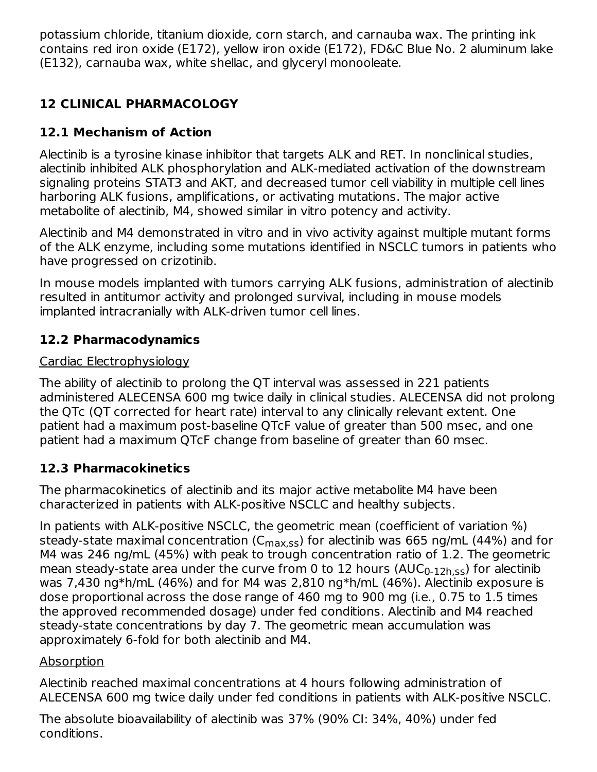potassium chloride, titanium dioxide, corn starch, and carnauba wax. The printing ink contains red iron oxide (E172), yellow iron oxide (E172), FD&C Blue No. 2 aluminum lake (E132), carnauba wax, white shellac, and glyceryl monooleate.

## **12 CLINICAL PHARMACOLOGY**

## **12.1 Mechanism of Action**

Alectinib is a tyrosine kinase inhibitor that targets ALK and RET. In nonclinical studies, alectinib inhibited ALK phosphorylation and ALK-mediated activation of the downstream signaling proteins STAT3 and AKT, and decreased tumor cell viability in multiple cell lines harboring ALK fusions, amplifications, or activating mutations. The major active metabolite of alectinib, M4, showed similar in vitro potency and activity.

Alectinib and M4 demonstrated in vitro and in vivo activity against multiple mutant forms of the ALK enzyme, including some mutations identified in NSCLC tumors in patients who have progressed on crizotinib.

In mouse models implanted with tumors carrying ALK fusions, administration of alectinib resulted in antitumor activity and prolonged survival, including in mouse models implanted intracranially with ALK-driven tumor cell lines.

## **12.2 Pharmacodynamics**

## Cardiac Electrophysiology

The ability of alectinib to prolong the QT interval was assessed in 221 patients administered ALECENSA 600 mg twice daily in clinical studies. ALECENSA did not prolong the QTc (QT corrected for heart rate) interval to any clinically relevant extent. One patient had a maximum post-baseline QTcF value of greater than 500 msec, and one patient had a maximum QTcF change from baseline of greater than 60 msec.

## **12.3 Pharmacokinetics**

The pharmacokinetics of alectinib and its major active metabolite M4 have been characterized in patients with ALK-positive NSCLC and healthy subjects.

In patients with ALK-positive NSCLC, the geometric mean (coefficient of variation %) steady-state maximal concentration (C<sub>max,ss</sub>) for alectinib was 665 ng/mL (44%) and for M4 was 246 ng/mL (45%) with peak to trough concentration ratio of 1.2. The geometric mean steady-state area under the curve from 0 to 12 hours (AUC $_{\rm 0\text{-}12h,ss}$ ) for alectinib was 7,430 ng\*h/mL (46%) and for M4 was 2,810 ng\*h/mL (46%). Alectinib exposure is dose proportional across the dose range of 460 mg to 900 mg (i.e., 0.75 to 1.5 times the approved recommended dosage) under fed conditions. Alectinib and M4 reached steady-state concentrations by day 7. The geometric mean accumulation was approximately 6-fold for both alectinib and M4.

## Absorption

Alectinib reached maximal concentrations at 4 hours following administration of ALECENSA 600 mg twice daily under fed conditions in patients with ALK-positive NSCLC.

The absolute bioavailability of alectinib was 37% (90% CI: 34%, 40%) under fed conditions.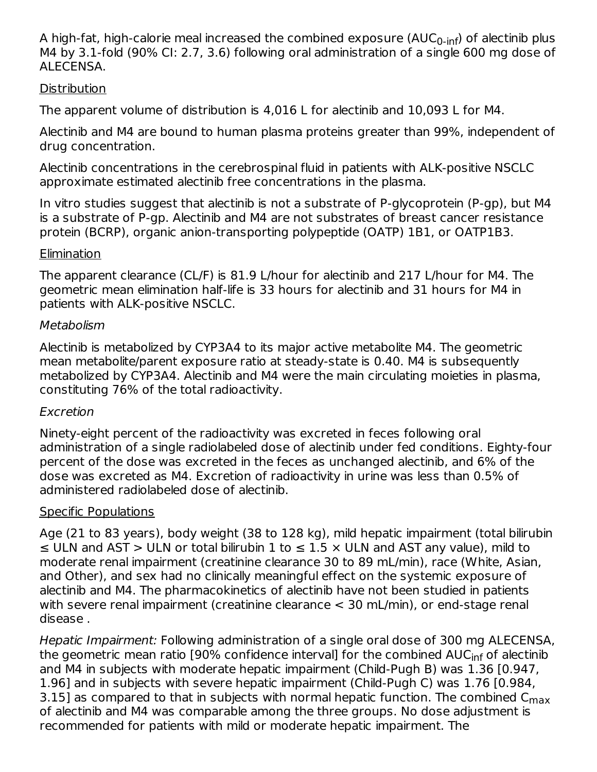A high-fat, high-calorie meal increased the combined exposure (AUC $_{\rm 0\text{-}inf}$ ) of alectinib plus M4 by 3.1-fold (90% CI: 2.7, 3.6) following oral administration of a single 600 mg dose of ALECENSA.

#### **Distribution**

The apparent volume of distribution is 4,016 L for alectinib and 10,093 L for M4.

Alectinib and M4 are bound to human plasma proteins greater than 99%, independent of drug concentration.

Alectinib concentrations in the cerebrospinal fluid in patients with ALK-positive NSCLC approximate estimated alectinib free concentrations in the plasma.

In vitro studies suggest that alectinib is not a substrate of P-glycoprotein (P-gp), but M4 is a substrate of P-gp. Alectinib and M4 are not substrates of breast cancer resistance protein (BCRP), organic anion-transporting polypeptide (OATP) 1B1, or OATP1B3.

#### Elimination

The apparent clearance (CL/F) is 81.9 L/hour for alectinib and 217 L/hour for M4. The geometric mean elimination half-life is 33 hours for alectinib and 31 hours for M4 in patients with ALK-positive NSCLC.

#### **Metabolism**

Alectinib is metabolized by CYP3A4 to its major active metabolite M4. The geometric mean metabolite/parent exposure ratio at steady-state is 0.40. M4 is subsequently metabolized by CYP3A4. Alectinib and M4 were the main circulating moieties in plasma, constituting 76% of the total radioactivity.

## Excretion

Ninety-eight percent of the radioactivity was excreted in feces following oral administration of a single radiolabeled dose of alectinib under fed conditions. Eighty-four percent of the dose was excreted in the feces as unchanged alectinib, and 6% of the dose was excreted as M4. Excretion of radioactivity in urine was less than 0.5% of administered radiolabeled dose of alectinib.

## Specific Populations

Age (21 to 83 years), body weight (38 to 128 kg), mild hepatic impairment (total bilirubin  $\leq$  ULN and AST > ULN or total bilirubin 1 to  $\leq$  1.5  $\times$  ULN and AST any value), mild to moderate renal impairment (creatinine clearance 30 to 89 mL/min), race (White, Asian, and Other), and sex had no clinically meaningful effect on the systemic exposure of alectinib and M4. The pharmacokinetics of alectinib have not been studied in patients with severe renal impairment (creatinine clearance < 30 mL/min), or end-stage renal disease .

Hepatic Impairment: Following administration of a single oral dose of 300 mg ALECENSA, the geometric mean ratio [90% confidence interval] for the combined AUC<sub>inf</sub> of alectinib and M4 in subjects with moderate hepatic impairment (Child-Pugh B) was 1.36 [0.947, 1.96] and in subjects with severe hepatic impairment (Child-Pugh C) was 1.76 [0.984, 3.15] as compared to that in subjects with normal hepatic function. The combined  ${\sf C}_{\sf max}$ of alectinib and M4 was comparable among the three groups. No dose adjustment is recommended for patients with mild or moderate hepatic impairment. The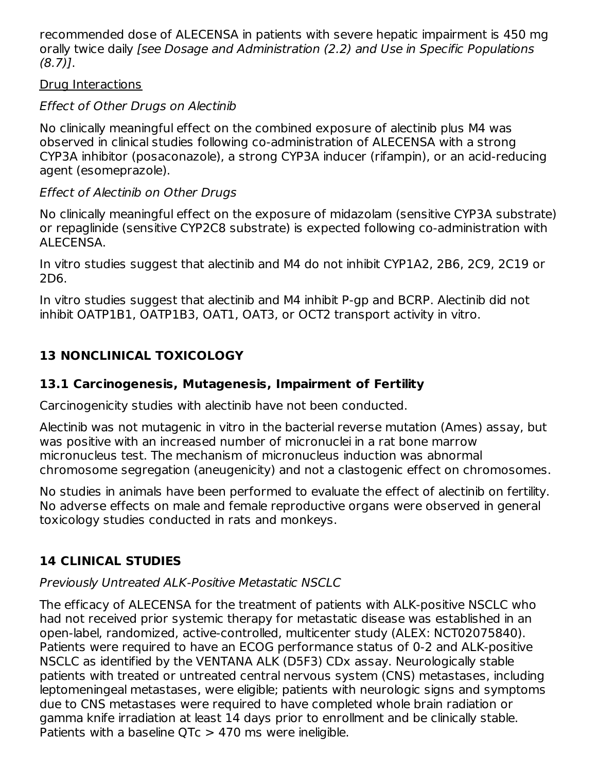recommended dose of ALECENSA in patients with severe hepatic impairment is 450 mg orally twice daily [see Dosage and Administration (2.2) and Use in Specific Populations (8.7)].

#### Drug Interactions

## Effect of Other Drugs on Alectinib

No clinically meaningful effect on the combined exposure of alectinib plus M4 was observed in clinical studies following co-administration of ALECENSA with a strong CYP3A inhibitor (posaconazole), a strong CYP3A inducer (rifampin), or an acid-reducing agent (esomeprazole).

## Effect of Alectinib on Other Drugs

No clinically meaningful effect on the exposure of midazolam (sensitive CYP3A substrate) or repaglinide (sensitive CYP2C8 substrate) is expected following co-administration with ALECENSA.

In vitro studies suggest that alectinib and M4 do not inhibit CYP1A2, 2B6, 2C9, 2C19 or 2D6.

In vitro studies suggest that alectinib and M4 inhibit P-gp and BCRP. Alectinib did not inhibit OATP1B1, OATP1B3, OAT1, OAT3, or OCT2 transport activity in vitro.

## **13 NONCLINICAL TOXICOLOGY**

## **13.1 Carcinogenesis, Mutagenesis, Impairment of Fertility**

Carcinogenicity studies with alectinib have not been conducted.

Alectinib was not mutagenic in vitro in the bacterial reverse mutation (Ames) assay, but was positive with an increased number of micronuclei in a rat bone marrow micronucleus test. The mechanism of micronucleus induction was abnormal chromosome segregation (aneugenicity) and not a clastogenic effect on chromosomes.

No studies in animals have been performed to evaluate the effect of alectinib on fertility. No adverse effects on male and female reproductive organs were observed in general toxicology studies conducted in rats and monkeys.

## **14 CLINICAL STUDIES**

## Previously Untreated ALK-Positive Metastatic NSCLC

The efficacy of ALECENSA for the treatment of patients with ALK-positive NSCLC who had not received prior systemic therapy for metastatic disease was established in an open-label, randomized, active-controlled, multicenter study (ALEX: NCT02075840). Patients were required to have an ECOG performance status of 0-2 and ALK-positive NSCLC as identified by the VENTANA ALK (D5F3) CDx assay. Neurologically stable patients with treated or untreated central nervous system (CNS) metastases, including leptomeningeal metastases, were eligible; patients with neurologic signs and symptoms due to CNS metastases were required to have completed whole brain radiation or gamma knife irradiation at least 14 days prior to enrollment and be clinically stable. Patients with a baseline  $QTC > 470$  ms were ineligible.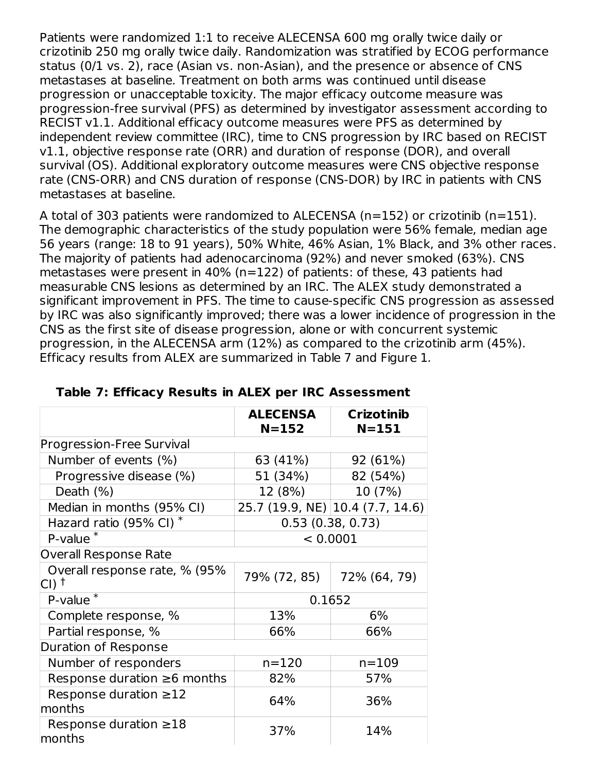Patients were randomized 1:1 to receive ALECENSA 600 mg orally twice daily or crizotinib 250 mg orally twice daily. Randomization was stratified by ECOG performance status (0/1 vs. 2), race (Asian vs. non-Asian), and the presence or absence of CNS metastases at baseline. Treatment on both arms was continued until disease progression or unacceptable toxicity. The major efficacy outcome measure was progression-free survival (PFS) as determined by investigator assessment according to RECIST v1.1. Additional efficacy outcome measures were PFS as determined by independent review committee (IRC), time to CNS progression by IRC based on RECIST v1.1, objective response rate (ORR) and duration of response (DOR), and overall survival (OS). Additional exploratory outcome measures were CNS objective response rate (CNS-ORR) and CNS duration of response (CNS-DOR) by IRC in patients with CNS metastases at baseline.

A total of 303 patients were randomized to ALECENSA (n=152) or crizotinib (n=151). The demographic characteristics of the study population were 56% female, median age 56 years (range: 18 to 91 years), 50% White, 46% Asian, 1% Black, and 3% other races. The majority of patients had adenocarcinoma (92%) and never smoked (63%). CNS metastases were present in 40% (n=122) of patients: of these, 43 patients had measurable CNS lesions as determined by an IRC. The ALEX study demonstrated a significant improvement in PFS. The time to cause-specific CNS progression as assessed by IRC was also significantly improved; there was a lower incidence of progression in the CNS as the first site of disease progression, alone or with concurrent systemic progression, in the ALECENSA arm (12%) as compared to the crizotinib arm (45%). Efficacy results from ALEX are summarized in Table 7 and Figure 1.

|                                          | <b>ALECENSA</b><br>$N = 152$ | <b>Crizotinib</b><br>$N = 151$   |  |
|------------------------------------------|------------------------------|----------------------------------|--|
| Progression-Free Survival                |                              |                                  |  |
| Number of events (%)                     | 63 (41%)                     | 92 (61%)                         |  |
| Progressive disease (%)                  | 51 (34%)                     | 82 (54%)                         |  |
| Death (%)                                | 12 (8%)                      | 10 (7%)                          |  |
| Median in months (95% CI)                |                              | 25.7 (19.9, NE) 10.4 (7.7, 14.6) |  |
| Hazard ratio (95% CI) <sup>*</sup>       | 0.53(0.38, 0.73)             |                                  |  |
| P-value                                  | < 0.0001                     |                                  |  |
| <b>Overall Response Rate</b>             |                              |                                  |  |
| Overall response rate, % (95%)<br>∣CI) † | 79% (72, 85)                 | 72% (64, 79)                     |  |
| $P$ -value $*$                           | 0.1652                       |                                  |  |
| Complete response, %                     | 13%                          | 6%                               |  |
| Partial response, %                      | 66%                          | 66%                              |  |
| Duration of Response                     |                              |                                  |  |
| Number of responders                     | $n = 120$                    | $n = 109$                        |  |
| Response duration $\geq 6$ months        | 82%                          | 57%                              |  |
| Response duration $\geq$ 12<br>months    | 64%                          | 36%                              |  |
| Response duration $\geq 18$<br>months    | 37%                          | 14%                              |  |

#### **Table 7: Efficacy Results in ALEX per IRC Assessment**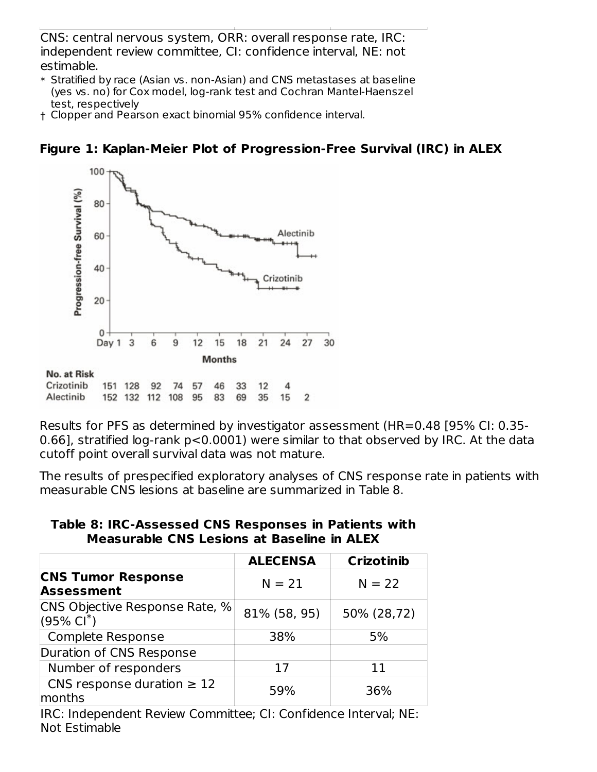CNS: central nervous system, ORR: overall response rate, IRC: independent review committee, CI: confidence interval, NE: not estimable.

- \* Stratified by race (Asian vs. non-Asian) and CNS metastases at baseline (yes vs. no) for Cox model, log-rank test and Cochran Mantel-Haenszel test, respectively
- † Clopper and Pearson exact binomial 95% confidence interval.

## **Figure 1: Kaplan-Meier Plot of Progression-Free Survival (IRC) in ALEX**



Results for PFS as determined by investigator assessment (HR=0.48 [95% CI: 0.35- 0.66], stratified log-rank p<0.0001) were similar to that observed by IRC. At the data cutoff point overall survival data was not mature.

The results of prespecified exploratory analyses of CNS response rate in patients with measurable CNS lesions at baseline are summarized in Table 8.

**Table 8: IRC-Assessed CNS Responses in Patients with Measurable CNS Lesions at Baseline in ALEX**

|                                                         | <b>ALECENSA</b> | <b>Crizotinib</b> |
|---------------------------------------------------------|-----------------|-------------------|
| <b>CNS Tumor Response</b><br><b>Assessment</b>          | $N = 21$        | $N = 22$          |
| CNS Objective Response Rate, %<br>$(95\% \text{ Cl}^*)$ | 81% (58, 95)    | 50% (28,72)       |
| <b>Complete Response</b>                                | 38%             | 5%                |
| Duration of CNS Response                                |                 |                   |
| Number of responders                                    | 17              | 11                |
| CNS response duration $\geq 12$<br>months               | 59%             | 36%               |

IRC: Independent Review Committee; CI: Confidence Interval; NE: Not Estimable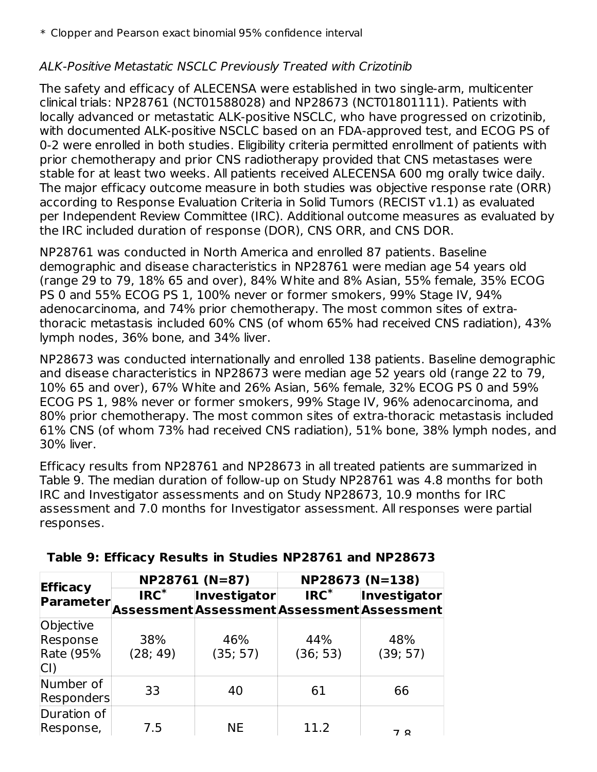## ALK-Positive Metastatic NSCLC Previously Treated with Crizotinib

The safety and efficacy of ALECENSA were established in two single-arm, multicenter clinical trials: NP28761 (NCT01588028) and NP28673 (NCT01801111). Patients with locally advanced or metastatic ALK-positive NSCLC, who have progressed on crizotinib, with documented ALK-positive NSCLC based on an FDA-approved test, and ECOG PS of 0-2 were enrolled in both studies. Eligibility criteria permitted enrollment of patients with prior chemotherapy and prior CNS radiotherapy provided that CNS metastases were stable for at least two weeks. All patients received ALECENSA 600 mg orally twice daily. The major efficacy outcome measure in both studies was objective response rate (ORR) according to Response Evaluation Criteria in Solid Tumors (RECIST v1.1) as evaluated per Independent Review Committee (IRC). Additional outcome measures as evaluated by the IRC included duration of response (DOR), CNS ORR, and CNS DOR.

NP28761 was conducted in North America and enrolled 87 patients. Baseline demographic and disease characteristics in NP28761 were median age 54 years old (range 29 to 79, 18% 65 and over), 84% White and 8% Asian, 55% female, 35% ECOG PS 0 and 55% ECOG PS 1, 100% never or former smokers, 99% Stage IV, 94% adenocarcinoma, and 74% prior chemotherapy. The most common sites of extrathoracic metastasis included 60% CNS (of whom 65% had received CNS radiation), 43% lymph nodes, 36% bone, and 34% liver.

NP28673 was conducted internationally and enrolled 138 patients. Baseline demographic and disease characteristics in NP28673 were median age 52 years old (range 22 to 79, 10% 65 and over), 67% White and 26% Asian, 56% female, 32% ECOG PS 0 and 59% ECOG PS 1, 98% never or former smokers, 99% Stage IV, 96% adenocarcinoma, and 80% prior chemotherapy. The most common sites of extra-thoracic metastasis included 61% CNS (of whom 73% had received CNS radiation), 51% bone, 38% lymph nodes, and 30% liver.

Efficacy results from NP28761 and NP28673 in all treated patients are summarized in Table 9. The median duration of follow-up on Study NP28761 was 4.8 months for both IRC and Investigator assessments and on Study NP28673, 10.9 months for IRC assessment and 7.0 months for Investigator assessment. All responses were partial responses.

|                                                  |                 | NP28761 (N=87)                                           | NP28673 (N=138)  |                 |  |
|--------------------------------------------------|-----------------|----------------------------------------------------------|------------------|-----------------|--|
| <b>Efficacy</b><br>Parameter                     | $IRC^*$         | Investigator<br>AssessmentAssessmentAssessmentAssessment | $\mathsf{IRC}^*$ | Investigator    |  |
| Objective<br>Response<br><b>Rate (95%</b><br>CI) | 38%<br>(28; 49) | 46%<br>(35; 57)                                          | 44%<br>(36; 53)  | 48%<br>(39; 57) |  |
| Number of<br><b>Responders</b>                   | 33              | 40                                                       | 61               | 66              |  |
| Duration of<br>Response,                         | 7.5             | <b>NE</b>                                                | 11.2             | 70              |  |

#### **Table 9: Efficacy Results in Studies NP28761 and NP28673**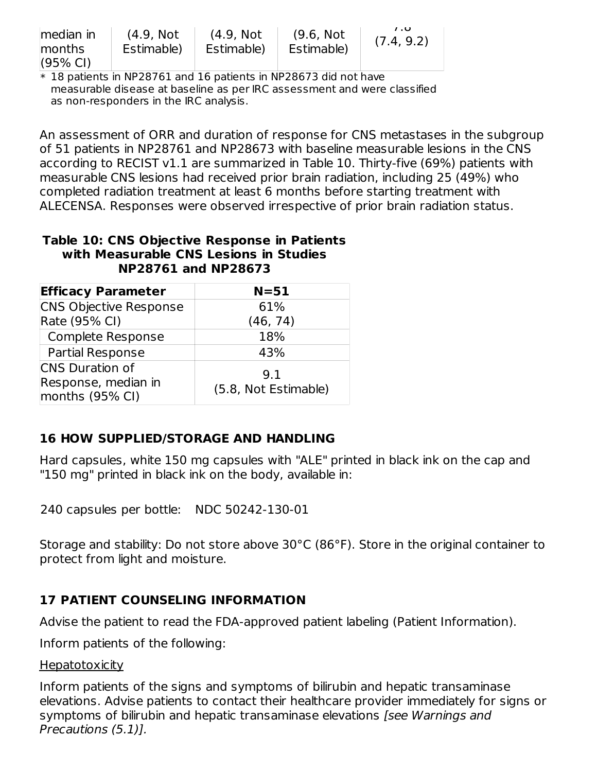| median in<br>months<br>$(95% \text{ Cl})$ | (4.9, Not<br>Estimable) | (4.9, Not<br>Estimable) | (9.6, Not<br>Estimable) | 7.0<br>(7.4, 9.2) |
|-------------------------------------------|-------------------------|-------------------------|-------------------------|-------------------|
|-------------------------------------------|-------------------------|-------------------------|-------------------------|-------------------|

\* 18 patients in NP28761 and 16 patients in NP28673 did not have measurable disease at baseline as per IRC assessment and were classified as non-responders in the IRC analysis.

An assessment of ORR and duration of response for CNS metastases in the subgroup of 51 patients in NP28761 and NP28673 with baseline measurable lesions in the CNS according to RECIST v1.1 are summarized in Table 10. Thirty-five (69%) patients with measurable CNS lesions had received prior brain radiation, including 25 (49%) who completed radiation treatment at least 6 months before starting treatment with ALECENSA. Responses were observed irrespective of prior brain radiation status.

#### **Table 10: CNS Objective Response in Patients with Measurable CNS Lesions in Studies NP28761 and NP28673**

| <b>Efficacy Parameter</b>              | $N = 51$             |
|----------------------------------------|----------------------|
| <b>CNS Objective Response</b>          | 61%                  |
| Rate (95% CI)                          | (46, 74)             |
| Complete Response                      | 18%                  |
| <b>Partial Response</b>                | 43%                  |
| <b>CNS</b> Duration of                 | 9.1                  |
| Response, median in<br>months (95% CI) | (5.8, Not Estimable) |

## **16 HOW SUPPLIED/STORAGE AND HANDLING**

Hard capsules, white 150 mg capsules with "ALE" printed in black ink on the cap and "150 mg" printed in black ink on the body, available in:

240 capsules per bottle: NDC 50242-130-01

Storage and stability: Do not store above 30°C (86°F). Store in the original container to protect from light and moisture.

## **17 PATIENT COUNSELING INFORMATION**

Advise the patient to read the FDA-approved patient labeling (Patient Information).

Inform patients of the following:

#### **Hepatotoxicity**

Inform patients of the signs and symptoms of bilirubin and hepatic transaminase elevations. Advise patients to contact their healthcare provider immediately for signs or symptoms of bilirubin and hepatic transaminase elevations [see Warnings and Precautions (5.1)].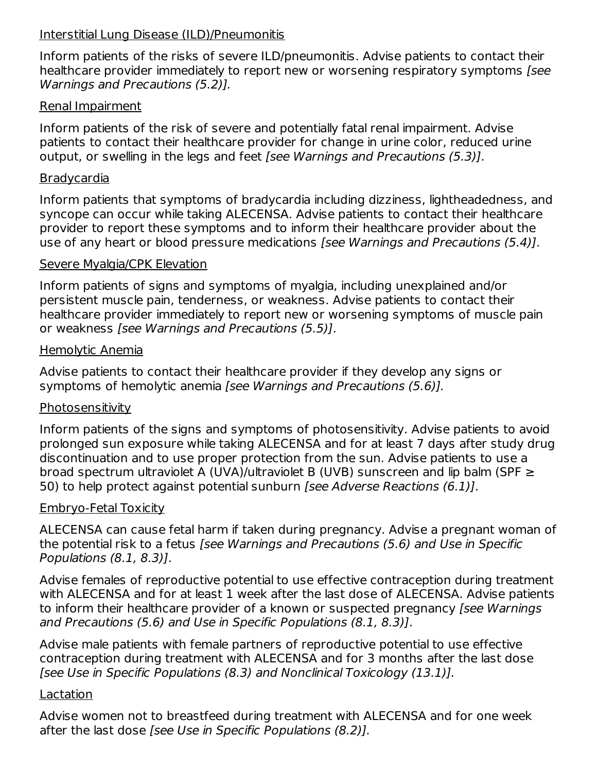#### Interstitial Lung Disease (ILD)/Pneumonitis

Inform patients of the risks of severe ILD/pneumonitis. Advise patients to contact their healthcare provider immediately to report new or worsening respiratory symptoms [see Warnings and Precautions (5.2)].

#### Renal Impairment

Inform patients of the risk of severe and potentially fatal renal impairment. Advise patients to contact their healthcare provider for change in urine color, reduced urine output, or swelling in the legs and feet *[see Warnings and Precautions (5.3)]*.

#### **Bradycardia**

Inform patients that symptoms of bradycardia including dizziness, lightheadedness, and syncope can occur while taking ALECENSA. Advise patients to contact their healthcare provider to report these symptoms and to inform their healthcare provider about the use of any heart or blood pressure medications [see Warnings and Precautions (5.4)].

#### Severe Myalgia/CPK Elevation

Inform patients of signs and symptoms of myalgia, including unexplained and/or persistent muscle pain, tenderness, or weakness. Advise patients to contact their healthcare provider immediately to report new or worsening symptoms of muscle pain or weakness [see Warnings and Precautions (5.5)].

#### Hemolytic Anemia

Advise patients to contact their healthcare provider if they develop any signs or symptoms of hemolytic anemia [see Warnings and Precautions (5.6)].

#### **Photosensitivity**

Inform patients of the signs and symptoms of photosensitivity. Advise patients to avoid prolonged sun exposure while taking ALECENSA and for at least 7 days after study drug discontinuation and to use proper protection from the sun. Advise patients to use a broad spectrum ultraviolet A (UVA)/ultraviolet B (UVB) sunscreen and lip balm (SPF ≥ 50) to help protect against potential sunburn [see Adverse Reactions (6.1)].

#### Embryo-Fetal Toxicity

ALECENSA can cause fetal harm if taken during pregnancy. Advise a pregnant woman of the potential risk to a fetus [see Warnings and Precautions (5.6) and Use in Specific Populations (8.1, 8.3)].

Advise females of reproductive potential to use effective contraception during treatment with ALECENSA and for at least 1 week after the last dose of ALECENSA. Advise patients to inform their healthcare provider of a known or suspected pregnancy (see Warnings and Precautions (5.6) and Use in Specific Populations (8.1, 8.3)].

Advise male patients with female partners of reproductive potential to use effective contraception during treatment with ALECENSA and for 3 months after the last dose [see Use in Specific Populations (8.3) and Nonclinical Toxicology (13.1)].

#### Lactation

Advise women not to breastfeed during treatment with ALECENSA and for one week after the last dose [see Use in Specific Populations (8.2)].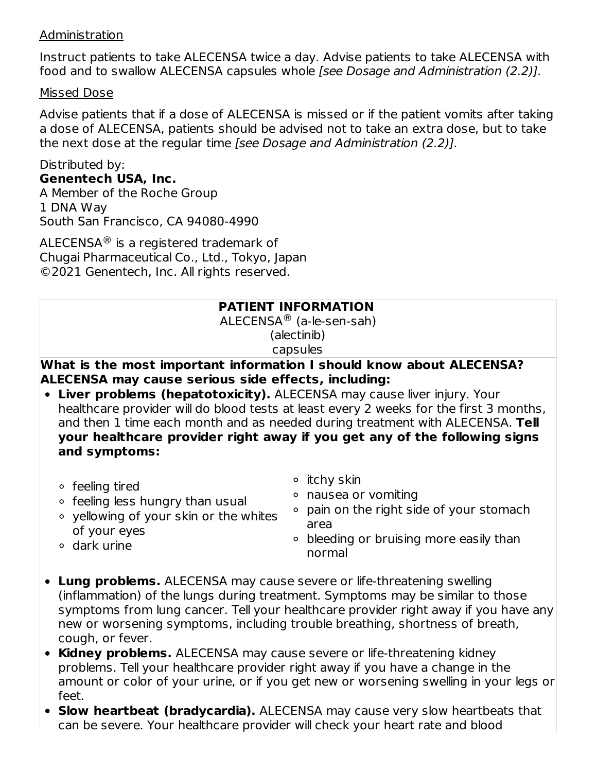#### Administration

Instruct patients to take ALECENSA twice a day. Advise patients to take ALECENSA with food and to swallow ALECENSA capsules whole [see Dosage and Administration (2.2)].

#### Missed Dose

Advise patients that if a dose of ALECENSA is missed or if the patient vomits after taking a dose of ALECENSA, patients should be advised not to take an extra dose, but to take the next dose at the regular time [see Dosage and Administration (2.2)].

Distributed by: **Genentech USA, Inc.** A Member of the Roche Group 1 DNA Way South San Francisco, CA 94080-4990

<code>ALECENSA $^\circledR$ </code> is a registered trademark of Chugai Pharmaceutical Co., Ltd., Tokyo, Japan ©2021 Genentech, Inc. All rights reserved.

#### **PATIENT INFORMATION**

 $\mathsf{ALECENSA}^{\circledR}$  (a-le-sen-sah) (alectinib) capsules

#### **What is the most important information I should know about ALECENSA? ALECENSA may cause serious side effects, including:**

**Liver problems (hepatotoxicity).** ALECENSA may cause liver injury. Your healthcare provider will do blood tests at least every 2 weeks for the first 3 months, and then 1 time each month and as needed during treatment with ALECENSA. **Tell your healthcare provider right away if you get any of the following signs and symptoms:**

 $\circ$  itchy skin

feeling tired

dark urine

- $\circ$  feeling less hungry than usual
- nausea or vomiting
- yellowing of your skin or the whites of your eyes
- pain on the right side of your stomach area
- bleeding or bruising more easily than normal
- **Lung problems.** ALECENSA may cause severe or life-threatening swelling (inflammation) of the lungs during treatment. Symptoms may be similar to those symptoms from lung cancer. Tell your healthcare provider right away if you have any new or worsening symptoms, including trouble breathing, shortness of breath, cough, or fever.
- **Kidney problems.** ALECENSA may cause severe or life-threatening kidney problems. Tell your healthcare provider right away if you have a change in the amount or color of your urine, or if you get new or worsening swelling in your legs or feet.
- **Slow heartbeat (bradycardia).** ALECENSA may cause very slow heartbeats that can be severe. Your healthcare provider will check your heart rate and blood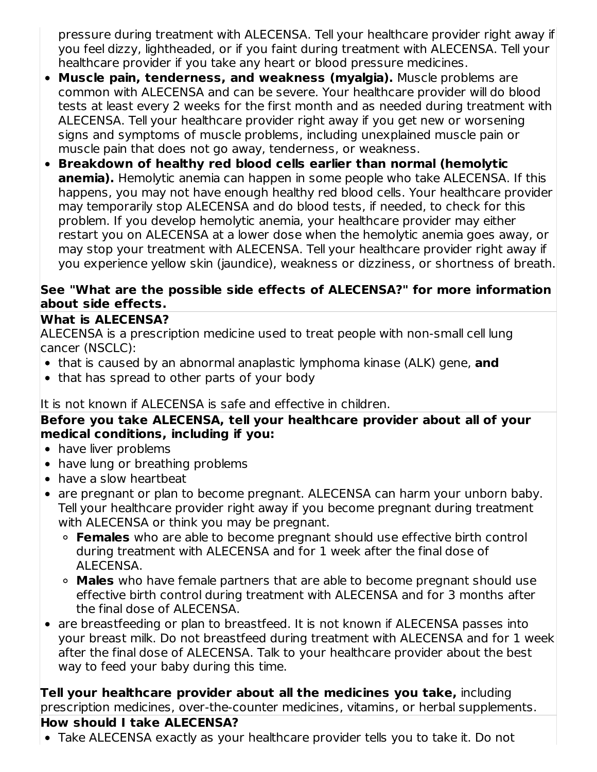pressure during treatment with ALECENSA. Tell your healthcare provider right away if you feel dizzy, lightheaded, or if you faint during treatment with ALECENSA. Tell your healthcare provider if you take any heart or blood pressure medicines.

- **Muscle pain, tenderness, and weakness (myalgia).** Muscle problems are common with ALECENSA and can be severe. Your healthcare provider will do blood tests at least every 2 weeks for the first month and as needed during treatment with ALECENSA. Tell your healthcare provider right away if you get new or worsening signs and symptoms of muscle problems, including unexplained muscle pain or muscle pain that does not go away, tenderness, or weakness.
- **Breakdown of healthy red blood cells earlier than normal (hemolytic anemia).** Hemolytic anemia can happen in some people who take ALECENSA. If this happens, you may not have enough healthy red blood cells. Your healthcare provider may temporarily stop ALECENSA and do blood tests, if needed, to check for this problem. If you develop hemolytic anemia, your healthcare provider may either restart you on ALECENSA at a lower dose when the hemolytic anemia goes away, or may stop your treatment with ALECENSA. Tell your healthcare provider right away if you experience yellow skin (jaundice), weakness or dizziness, or shortness of breath.

#### **See "What are the possible side effects of ALECENSA?" for more information about side effects.**

## **What is ALECENSA?**

ALECENSA is a prescription medicine used to treat people with non-small cell lung cancer (NSCLC):

- that is caused by an abnormal anaplastic lymphoma kinase (ALK) gene, **and**
- that has spread to other parts of your body

## It is not known if ALECENSA is safe and effective in children.

#### **Before you take ALECENSA, tell your healthcare provider about all of your medical conditions, including if you:**

- have liver problems
- have lung or breathing problems
- have a slow heartbeat
- are pregnant or plan to become pregnant. ALECENSA can harm your unborn baby. Tell your healthcare provider right away if you become pregnant during treatment with ALECENSA or think you may be pregnant.
	- **Females** who are able to become pregnant should use effective birth control during treatment with ALECENSA and for 1 week after the final dose of ALECENSA.
	- **Males** who have female partners that are able to become pregnant should use effective birth control during treatment with ALECENSA and for 3 months after the final dose of ALECENSA.
- are breastfeeding or plan to breastfeed. It is not known if ALECENSA passes into your breast milk. Do not breastfeed during treatment with ALECENSA and for 1 week after the final dose of ALECENSA. Talk to your healthcare provider about the best way to feed your baby during this time.

**Tell your healthcare provider about all the medicines you take,** including prescription medicines, over-the-counter medicines, vitamins, or herbal supplements.

## **How should I take ALECENSA?**

Take ALECENSA exactly as your healthcare provider tells you to take it. Do not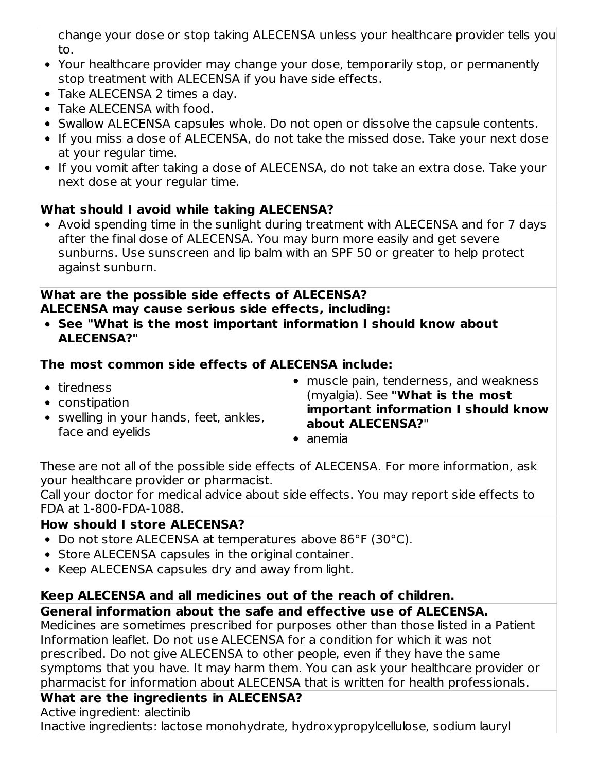change your dose or stop taking ALECENSA unless your healthcare provider tells you to.

- Your healthcare provider may change your dose, temporarily stop, or permanently stop treatment with ALECENSA if you have side effects.
- Take ALECENSA 2 times a day.
- Take ALECENSA with food.
- Swallow ALECENSA capsules whole. Do not open or dissolve the capsule contents.
- If you miss a dose of ALECENSA, do not take the missed dose. Take your next dose at your regular time.
- If you vomit after taking a dose of ALECENSA, do not take an extra dose. Take your next dose at your regular time.

## **What should I avoid while taking ALECENSA?**

Avoid spending time in the sunlight during treatment with ALECENSA and for 7 days after the final dose of ALECENSA. You may burn more easily and get severe sunburns. Use sunscreen and lip balm with an SPF 50 or greater to help protect against sunburn.

#### **What are the possible side effects of ALECENSA? ALECENSA may cause serious side effects, including:**

**See "What is the most important information I should know about ALECENSA?"**

## **The most common side effects of ALECENSA include:**

- tiredness
- constipation
- swelling in your hands, feet, ankles, face and eyelids
- muscle pain, tenderness, and weakness (myalgia). See **"What is the most important information I should know about ALECENSA?**"
- anemia

These are not all of the possible side effects of ALECENSA. For more information, ask your healthcare provider or pharmacist.

Call your doctor for medical advice about side effects. You may report side effects to FDA at 1-800-FDA-1088.

## **How should I store ALECENSA?**

- Do not store ALECENSA at temperatures above 86°F (30°C).
- Store ALECENSA capsules in the original container.
- Keep ALECENSA capsules dry and away from light.

## **Keep ALECENSA and all medicines out of the reach of children.**

## **General information about the safe and effective use of ALECENSA.**

Medicines are sometimes prescribed for purposes other than those listed in a Patient Information leaflet. Do not use ALECENSA for a condition for which it was not prescribed. Do not give ALECENSA to other people, even if they have the same symptoms that you have. It may harm them. You can ask your healthcare provider or pharmacist for information about ALECENSA that is written for health professionals.

## **What are the ingredients in ALECENSA?**

Active ingredient: alectinib

Inactive ingredients: lactose monohydrate, hydroxypropylcellulose, sodium lauryl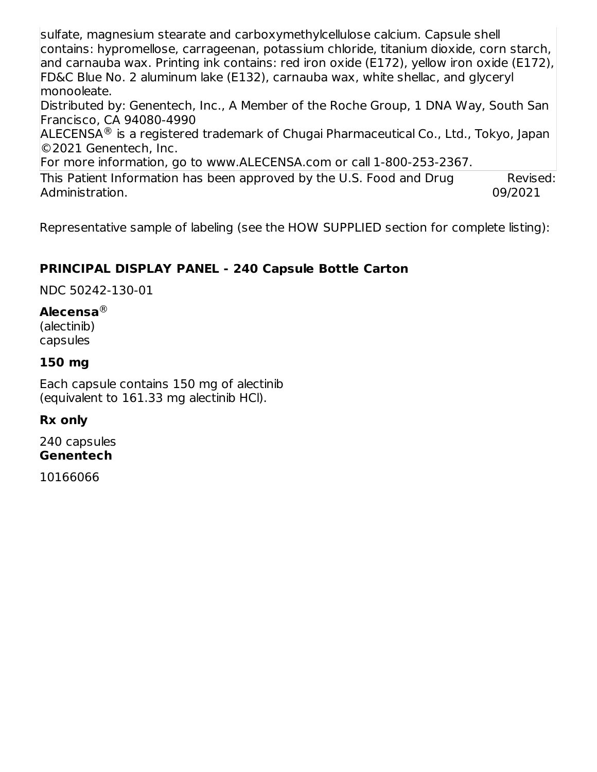sulfate, magnesium stearate and carboxymethylcellulose calcium. Capsule shell contains: hypromellose, carrageenan, potassium chloride, titanium dioxide, corn starch, and carnauba wax. Printing ink contains: red iron oxide (E172), yellow iron oxide (E172), FD&C Blue No. 2 aluminum lake (E132), carnauba wax, white shellac, and glyceryl monooleate.

Distributed by: Genentech, Inc., A Member of the Roche Group, 1 DNA Way, South San Francisco, CA 94080-4990

<code>ALECENSA $^\circledR$ </code> is a registered trademark of Chugai Pharmaceutical Co., Ltd., Tokyo, Japan ©2021 Genentech, Inc.

For more information, go to www.ALECENSA.com or call 1-800-253-2367.

This Patient Information has been approved by the U.S. Food and Drug Administration. Revised: 09/2021

Representative sample of labeling (see the HOW SUPPLIED section for complete listing):

## **PRINCIPAL DISPLAY PANEL - 240 Capsule Bottle Carton**

NDC 50242-130-01

#### **Alecensa** ®

(alectinib) capsules

#### **150 mg**

Each capsule contains 150 mg of alectinib (equivalent to 161.33 mg alectinib HCl).

**Rx only**

240 capsules **Genentech**

10166066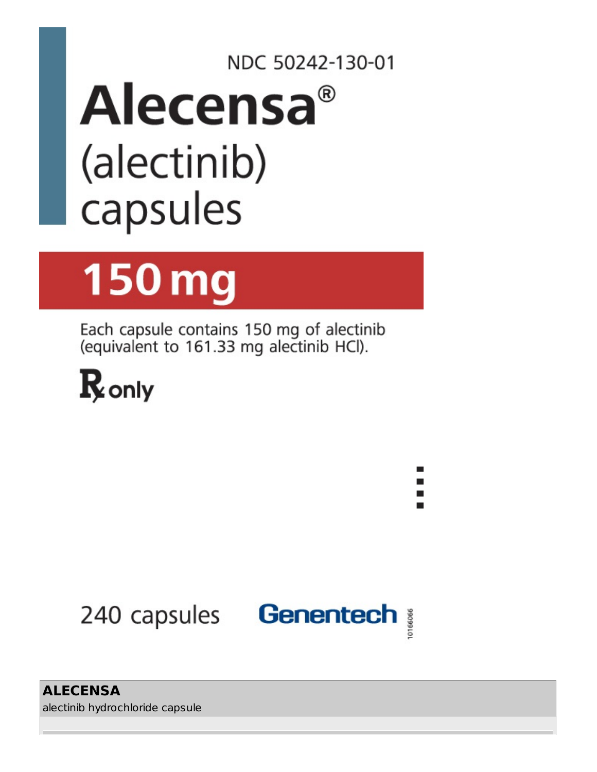## NDC 50242-130-01 Alecensa® (alectinib) capsules

# **150 mg**

Each capsule contains 150 mg of alectinib (equivalent to 161.33 mg alectinib HCl).





**ALECENSA** alectinib hydrochloride capsule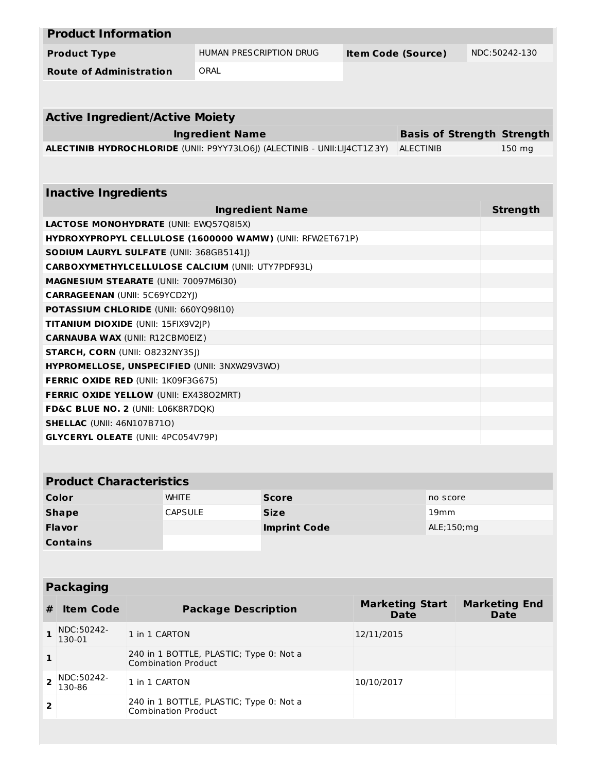|                                                                                | <b>Product Information</b>                               |                            |                                                                       |                                                                          |                           |                                       |  |                                     |
|--------------------------------------------------------------------------------|----------------------------------------------------------|----------------------------|-----------------------------------------------------------------------|--------------------------------------------------------------------------|---------------------------|---------------------------------------|--|-------------------------------------|
|                                                                                | <b>Product Type</b>                                      |                            |                                                                       | HUMAN PRESCRIPTION DRUG                                                  | <b>Item Code (Source)</b> |                                       |  | NDC:50242-130                       |
|                                                                                | <b>Route of Administration</b>                           |                            | ORAL                                                                  |                                                                          |                           |                                       |  |                                     |
|                                                                                |                                                          |                            |                                                                       |                                                                          |                           |                                       |  |                                     |
|                                                                                |                                                          |                            |                                                                       |                                                                          |                           |                                       |  |                                     |
|                                                                                | <b>Active Ingredient/Active Moiety</b>                   |                            |                                                                       |                                                                          |                           |                                       |  |                                     |
|                                                                                |                                                          |                            | <b>Ingredient Name</b>                                                |                                                                          |                           | <b>Basis of Strength Strength</b>     |  |                                     |
|                                                                                |                                                          |                            |                                                                       | ALECTINIB HYDROCHLORIDE (UNII: P9YY73LO6J) (ALECTINIB - UNII:LIJ4CT1Z3Y) |                           | <b>ALECTINIB</b>                      |  | 150 mg                              |
|                                                                                |                                                          |                            |                                                                       |                                                                          |                           |                                       |  |                                     |
|                                                                                | <b>Inactive Ingredients</b>                              |                            |                                                                       |                                                                          |                           |                                       |  |                                     |
|                                                                                |                                                          |                            |                                                                       | <b>Ingredient Name</b>                                                   |                           |                                       |  | <b>Strength</b>                     |
|                                                                                | LACTOSE MONOHYDRATE (UNII: EWQ57Q8I5X)                   |                            |                                                                       |                                                                          |                           |                                       |  |                                     |
|                                                                                |                                                          |                            |                                                                       | HYDROXYPROPYL CELLULOSE (1600000 WAMW) (UNII: RFW2ET671P)                |                           |                                       |  |                                     |
|                                                                                | <b>SODIUM LAURYL SULFATE (UNII: 368GB5141J)</b>          |                            |                                                                       |                                                                          |                           |                                       |  |                                     |
|                                                                                | <b>CARBOXYMETHYLCELLULOSE CALCIUM (UNII: UTY7PDF93L)</b> |                            |                                                                       |                                                                          |                           |                                       |  |                                     |
|                                                                                | <b>MAGNESIUM STEARATE (UNII: 70097M6I30)</b>             |                            |                                                                       |                                                                          |                           |                                       |  |                                     |
|                                                                                | <b>CARRAGEENAN (UNII: 5C69YCD2YJ)</b>                    |                            |                                                                       |                                                                          |                           |                                       |  |                                     |
|                                                                                | POTASSIUM CHLORIDE (UNII: 660YQ98I10)                    |                            |                                                                       |                                                                          |                           |                                       |  |                                     |
|                                                                                | TITANIUM DIOXIDE (UNII: 15FIX9V2JP)                      |                            |                                                                       |                                                                          |                           |                                       |  |                                     |
|                                                                                | <b>CARNAUBA WAX (UNII: R12CBM0EIZ)</b>                   |                            |                                                                       |                                                                          |                           |                                       |  |                                     |
|                                                                                | STARCH, CORN (UNII: O8232NY3SJ)                          |                            |                                                                       |                                                                          |                           |                                       |  |                                     |
|                                                                                | HYPROMELLOSE, UNSPECIFIED (UNII: 3NXW29V3WO)             |                            |                                                                       |                                                                          |                           |                                       |  |                                     |
|                                                                                | <b>FERRIC OXIDE RED (UNII: 1K09F3G675)</b>               |                            |                                                                       |                                                                          |                           |                                       |  |                                     |
|                                                                                | <b>FERRIC OXIDE YELLOW (UNII: EX43802MRT)</b>            |                            |                                                                       |                                                                          |                           |                                       |  |                                     |
|                                                                                | FD&C BLUE NO. 2 (UNII: L06K8R7DQK)                       |                            |                                                                       |                                                                          |                           |                                       |  |                                     |
| <b>SHELLAC (UNII: 46N107B71O)</b><br><b>GLYCERYL OLEATE (UNII: 4PC054V79P)</b> |                                                          |                            |                                                                       |                                                                          |                           |                                       |  |                                     |
|                                                                                |                                                          |                            |                                                                       |                                                                          |                           |                                       |  |                                     |
|                                                                                |                                                          |                            |                                                                       |                                                                          |                           |                                       |  |                                     |
| <b>Product Characteristics</b>                                                 |                                                          |                            |                                                                       |                                                                          |                           |                                       |  |                                     |
|                                                                                | Color                                                    | <b>WHITE</b>               |                                                                       | <b>Score</b>                                                             |                           | no score                              |  |                                     |
|                                                                                | <b>Shape</b>                                             | <b>CAPSULE</b>             |                                                                       | <b>Size</b>                                                              |                           | 19 <sub>mm</sub>                      |  |                                     |
|                                                                                | Flavor                                                   |                            |                                                                       | <b>Imprint Code</b>                                                      |                           | ALE;150; mg                           |  |                                     |
|                                                                                | <b>Contains</b>                                          |                            |                                                                       |                                                                          |                           |                                       |  |                                     |
|                                                                                |                                                          |                            |                                                                       |                                                                          |                           |                                       |  |                                     |
|                                                                                |                                                          |                            |                                                                       |                                                                          |                           |                                       |  |                                     |
| <b>Packaging</b>                                                               |                                                          |                            |                                                                       |                                                                          |                           |                                       |  |                                     |
| #                                                                              | <b>Item Code</b>                                         |                            | <b>Package Description</b>                                            |                                                                          |                           | <b>Marketing Start</b><br><b>Date</b> |  | <b>Marketing End</b><br><b>Date</b> |
| $\mathbf{1}$                                                                   | NDC:50242-<br>130-01                                     | 1 in 1 CARTON              |                                                                       |                                                                          | 12/11/2015                |                                       |  |                                     |
| 1                                                                              |                                                          |                            | 240 in 1 BOTTLE, PLASTIC; Type 0: Not a<br><b>Combination Product</b> |                                                                          |                           |                                       |  |                                     |
| $\overline{\mathbf{2}}$                                                        | NDC:50242-<br>130-86                                     | 1 in 1 CARTON              | 10/10/2017                                                            |                                                                          |                           |                                       |  |                                     |
| 2                                                                              |                                                          | <b>Combination Product</b> | 240 in 1 BOTTLE, PLASTIC; Type 0: Not a                               |                                                                          |                           |                                       |  |                                     |
|                                                                                |                                                          |                            |                                                                       |                                                                          |                           |                                       |  |                                     |